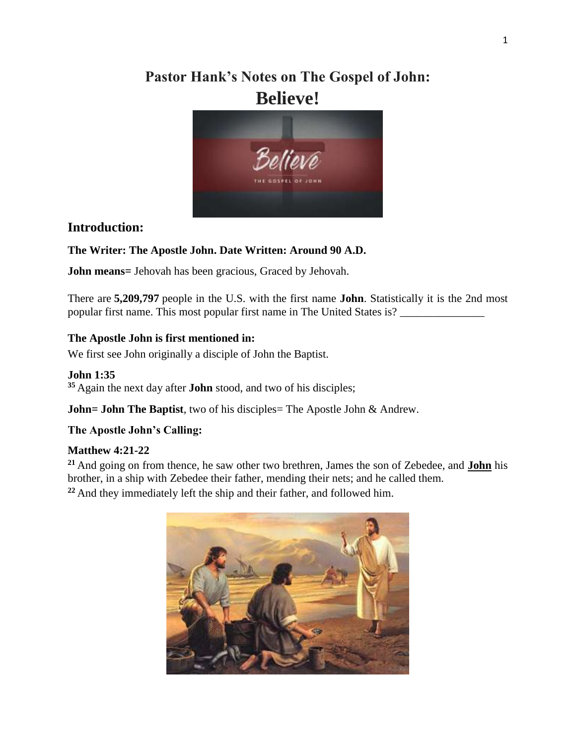# **Pastor Hank's Notes on The Gospel of John: Believe!**



# **Introduction:**

### **The Writer: The Apostle John. Date Written: Around 90 A.D.**

**John means=** Jehovah has been gracious, Graced by Jehovah.

There are **5,209,797** people in the U.S. with the first name **John**. Statistically it is the 2nd most popular first name. This most popular first name in The United States is? \_\_\_\_\_\_\_\_\_\_\_\_\_\_\_

### **The Apostle John is first mentioned in:**

We first see John originally a disciple of John the Baptist.

### **John 1:35**

**<sup>35</sup>** Again the next day after **John** stood, and two of his disciples;

**John= John The Baptist**, two of his disciples= The Apostle John & Andrew.

### **The Apostle John's Calling:**

### **Matthew 4:21-22**

**<sup>21</sup>** And going on from thence, he saw other two brethren, James the son of Zebedee, and **John** his brother, in a ship with Zebedee their father, mending their nets; and he called them. **<sup>22</sup>** And they immediately left the ship and their father, and followed him.

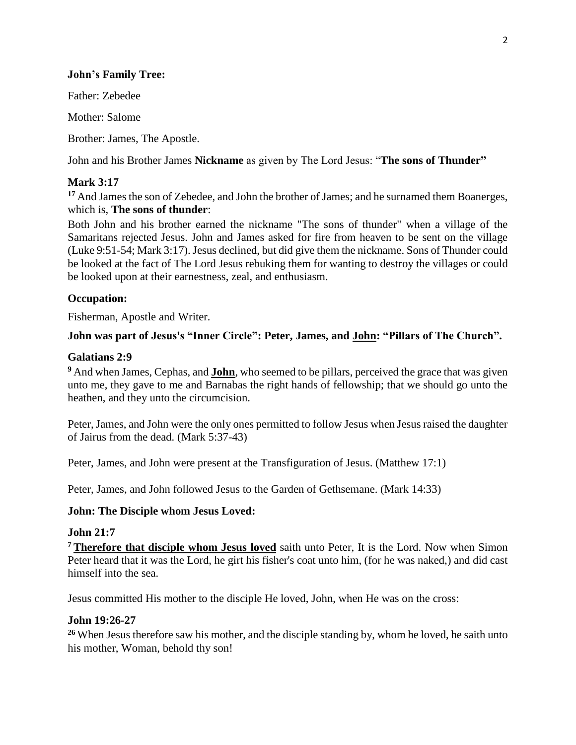#### **John's Family Tree:**

Father: Zebedee

Mother: Salome

Brother: James, The Apostle.

John and his Brother James **Nickname** as given by The Lord Jesus: "**The sons of Thunder"**

## **Mark 3:17**

<sup>17</sup> And James the son of Zebedee, and John the brother of James; and he surnamed them Boanerges, which is, **The sons of thunder**:

Both John and his brother earned the nickname "The sons of thunder" when a village of the Samaritans rejected Jesus. John and James asked for fire from heaven to be sent on the village (Luke 9:51-54; Mark 3:17). Jesus declined, but did give them the nickname. Sons of Thunder could be looked at the fact of The Lord Jesus rebuking them for wanting to destroy the villages or could be looked upon at their earnestness, zeal, and enthusiasm.

### **Occupation:**

Fisherman, Apostle and Writer.

### **John was part of Jesus's "Inner Circle": Peter, James, and John: "Pillars of The Church".**

#### **Galatians 2:9**

**<sup>9</sup>** And when James, Cephas, and **John**, who seemed to be pillars, perceived the grace that was given unto me, they gave to me and Barnabas the right hands of fellowship; that we should go unto the heathen, and they unto the circumcision.

Peter, James, and John were the only ones permitted to follow Jesus when Jesus raised the daughter of Jairus from the dead. [\(Mark 5:37-43\)](http://www.guidedbiblestudies.com/41_005.htm)

Peter, James, and John were present at the Transfiguration of Jesus. (Matthew 17:1)

Peter, James, and John followed Jesus to the Garden of Gethsemane. [\(Mark 14:33\)](http://www.guidedbiblestudies.com/41_014.htm)

#### **John: The Disciple whom Jesus Loved:**

#### **John 21:7**

**<sup>7</sup> Therefore that disciple whom Jesus loved** saith unto Peter, It is the Lord. Now when Simon Peter heard that it was the Lord, he girt his fisher's coat unto him, (for he was naked,) and did cast himself into the sea.

Jesus committed His mother to the disciple He loved, John, when He was on the cross:

#### **John 19:26-27**

**<sup>26</sup>** When Jesus therefore saw his mother, and the disciple standing by, whom he loved, he saith unto his mother, Woman, behold thy son!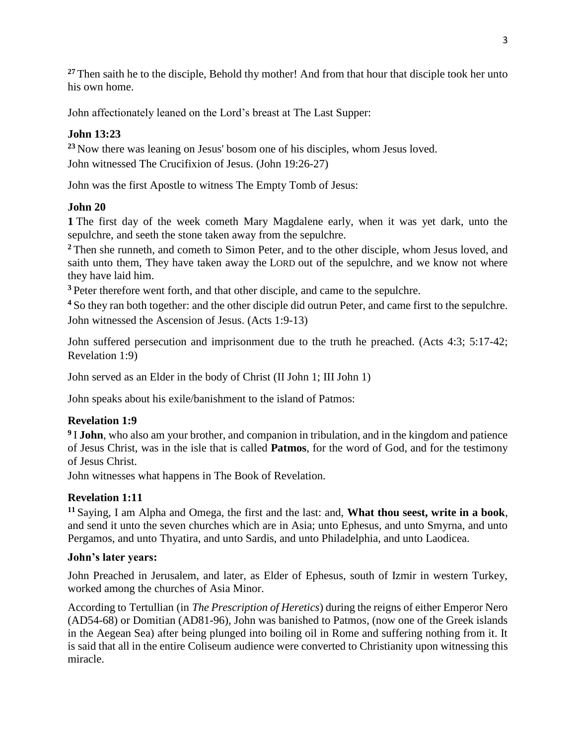<sup>27</sup> Then saith he to the disciple, Behold thy mother! And from that hour that disciple took her unto his own home.

John affectionately leaned on the Lord's breast at The Last Supper:

# **John 13:23**

**<sup>23</sup>** Now there was leaning on Jesus' bosom one of his disciples, whom Jesus loved. John witnessed The Crucifixion of Jesus. (John 19:26-27)

John was the first Apostle to witness The Empty Tomb of Jesus:

# **John 20**

**1** The first day of the week cometh Mary Magdalene early, when it was yet dark, unto the sepulchre, and seeth the stone taken away from the sepulchre.

**<sup>2</sup>** Then she runneth, and cometh to Simon Peter, and to the other disciple, whom Jesus loved, and saith unto them, They have taken away the LORD out of the sepulchre, and we know not where they have laid him.

**<sup>3</sup>** Peter therefore went forth, and that other disciple, and came to the sepulchre.

**<sup>4</sup>** So they ran both together: and the other disciple did outrun Peter, and came first to the sepulchre. John witnessed the Ascension of Jesus. [\(Acts 1:9-13\)](http://www.guidedbiblestudies.com/44_001.htm)

John suffered persecution and imprisonment due to the truth he preached. (Acts 4:3; 5:17-42; Revelation 1:9)

John served as an Elder in the body of Christ (II John 1; III John 1)

John speaks about his exile/banishment to the island of Patmos:

# **Revelation 1:9**

**9** I **John**, who also am your brother, and companion in tribulation, and in the kingdom and patience of Jesus Christ, was in the isle that is called **Patmos**, for the word of God, and for the testimony of Jesus Christ.

John witnesses what happens in The Book of Revelation.

# **Revelation 1:11**

**<sup>11</sup>** Saying, I am Alpha and Omega, the first and the last: and, **What thou seest, write in a book**, and send it unto the seven churches which are in Asia; unto Ephesus, and unto Smyrna, and unto Pergamos, and unto Thyatira, and unto Sardis, and unto Philadelphia, and unto Laodicea.

# **John's later years:**

John Preached in Jerusalem, and later, as Elder of Ephesus, south of Izmir in western Turkey, worked among the churches of Asia Minor.

According to [Tertullian](http://en.wikipedia.org/wiki/Tertullian) (in *The Prescription of Heretics*) during the reigns of either Emperor Nero (AD54-68) or Domitian (AD81-96), John was banished to Patmos, (now one of the Greek islands in the Aegean Sea) after being plunged into boiling oil in Rome and suffering nothing from it. It is said that all in the entire [Coliseum](http://en.wikipedia.org/wiki/Colosseum) audience were converted to Christianity upon witnessing this miracle.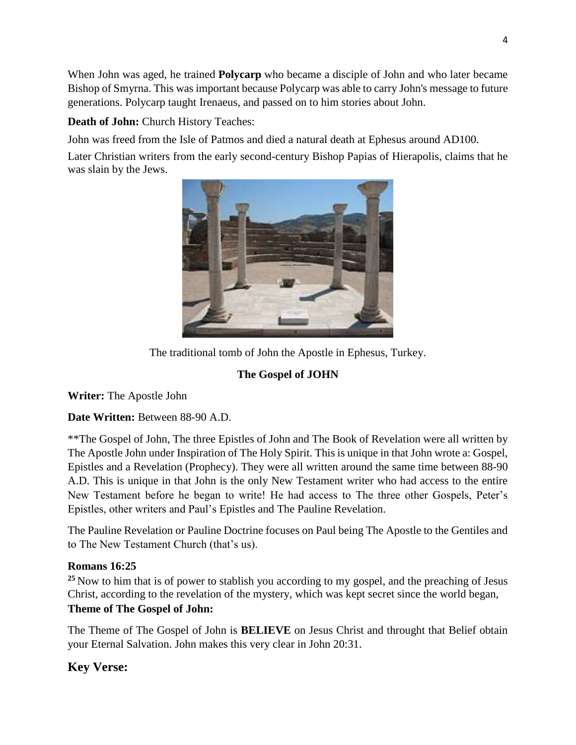When John was aged, he trained **[Polycarp](http://en.wikipedia.org/wiki/Polycarp)** who became a disciple of John and who later became Bishop of Smyrna. This was important because Polycarp was able to carry John's message to future generations. Polycarp taught [Irenaeus,](http://en.wikipedia.org/wiki/Irenaeus) and passed on to him stories about John.

# **Death of John:** Church History Teaches:

John was freed from the Isle of Patmos and died a natural death at Ephesus around AD100.

Later Christian writers from the early second-century Bishop [Papias of Hierapolis,](http://en.wikipedia.org/wiki/Papias_of_Hierapolis) claims that he was slain by the Jews.



The traditional tomb of John the Apostle in Ephesus, Turkey.

# **The Gospel of JOHN**

**Writer:** The Apostle John

**Date Written:** Between 88-90 A.D.

\*\*The Gospel of John, The three Epistles of John and The Book of Revelation were all written by The Apostle John under Inspiration of The Holy Spirit. This is unique in that John wrote a: Gospel, Epistles and a Revelation (Prophecy). They were all written around the same time between 88-90 A.D. This is unique in that John is the only New Testament writer who had access to the entire New Testament before he began to write! He had access to The three other Gospels, Peter's Epistles, other writers and Paul's Epistles and The Pauline Revelation.

The Pauline Revelation or Pauline Doctrine focuses on Paul being The Apostle to the Gentiles and to The New Testament Church (that's us).

# **Romans 16:25**

**<sup>25</sup>** Now to him that is of power to stablish you according to my gospel, and the preaching of Jesus Christ, according to the revelation of the mystery, which was kept secret since the world began,

# **Theme of The Gospel of John:**

The Theme of The Gospel of John is **BELIEVE** on Jesus Christ and throught that Belief obtain your Eternal Salvation. John makes this very clear in John 20:31.

# **Key Verse:**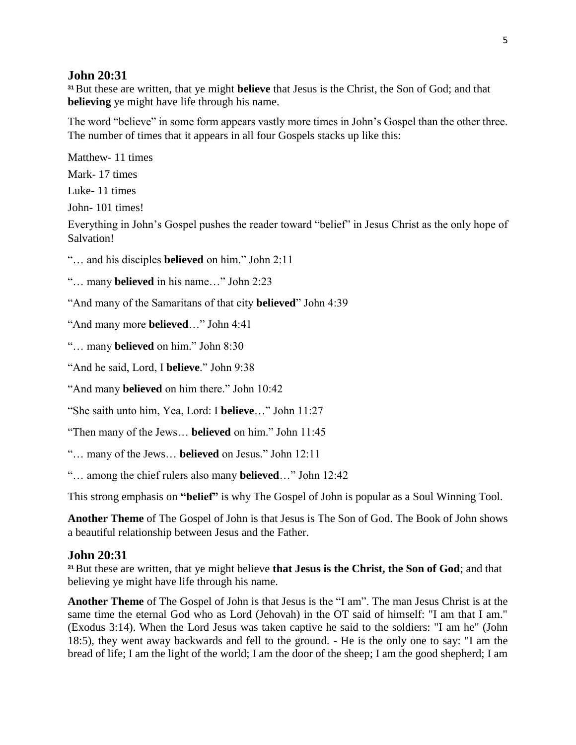#### **John 20:31**

**<sup>31</sup>**But these are written, that ye might **believe** that Jesus is the Christ, the Son of God; and that **believing** ye might have life through his name.

The word "believe" in some form appears vastly more times in John's Gospel than the other three. The number of times that it appears in all four Gospels stacks up like this:

Matthew- 11 times Mark- 17 times Luke- 11 times John- 101 times! Everything in John's Gospel pushes the reader toward "belief" in Jesus Christ as the only hope of Salvation!

"… and his disciples **believed** on him." John 2:11

"… many **believed** in his name…" John 2:23

"And many of the Samaritans of that city **believed**" John 4:39

"And many more **believed**…" John 4:41

"… many **believed** on him." John 8:30

"And he said, Lord, I **believe**." John 9:38

"And many **believed** on him there." John 10:42

"She saith unto him, Yea, Lord: I **believe**…" John 11:27

"Then many of the Jews… **believed** on him." John 11:45

"… many of the Jews… **believed** on Jesus." John 12:11

"… among the chief rulers also many **believed**…" John 12:42

This strong emphasis on **"belief"** is why The Gospel of John is popular as a Soul Winning Tool.

**Another Theme** of The Gospel of John is that Jesus is The Son of God. The Book of John shows a beautiful relationship between Jesus and the Father.

#### **John 20:31**

**<sup>31</sup>**But these are written, that ye might believe **that Jesus is the Christ, the Son of God**; and that believing ye might have life through his name.

**Another Theme** of The Gospel of John is that Jesus is the "I am". The man Jesus Christ is at the same time the eternal God who as Lord (Jehovah) in the OT said of himself: "I am that I am." (Exodus 3:14). When the Lord Jesus was taken captive he said to the soldiers: "I am he" (John 18:5), they went away backwards and fell to the ground. - He is the only one to say: "I am the bread of life; I am the light of the world; I am the door of the sheep; I am the good shepherd; I am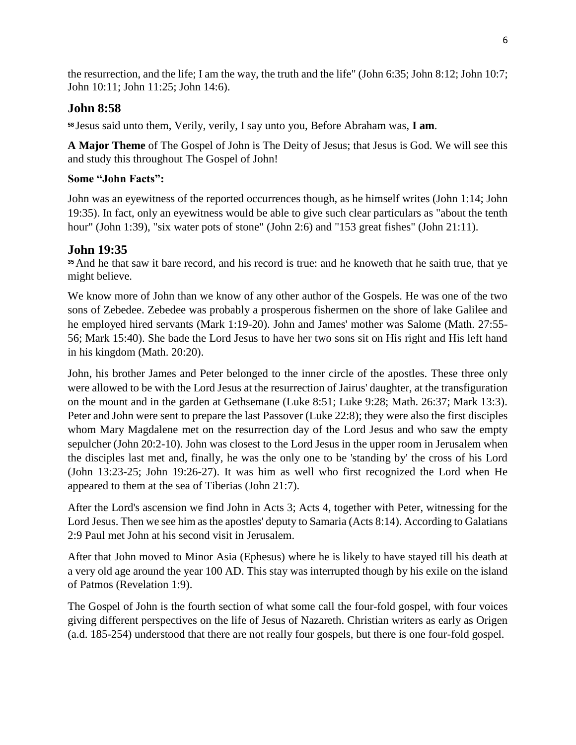the resurrection, and the life; I am the way, the truth and the life" (John 6:35; John 8:12; John 10:7; John 10:11; John 11:25; John 14:6).

# **John 8:58**

**<sup>58</sup>** Jesus said unto them, Verily, verily, I say unto you, Before Abraham was, **I am**.

**A Major Theme** of The Gospel of John is The Deity of Jesus; that Jesus is God. We will see this and study this throughout The Gospel of John!

# **Some "John Facts":**

John was an eyewitness of the reported occurrences though, as he himself writes (John 1:14; John 19:35). In fact, only an eyewitness would be able to give such clear particulars as "about the tenth hour" (John 1:39), "six water pots of stone" (John 2:6) and "153 great fishes" (John 21:11).

# **John 19:35**

**<sup>35</sup>**And he that saw it bare record, and his record is true: and he knoweth that he saith true, that ye might believe.

We know more of John than we know of any other author of the Gospels. He was one of the two sons of Zebedee. Zebedee was probably a prosperous fishermen on the shore of lake Galilee and he employed hired servants (Mark 1:19-20). John and James' mother was Salome (Math. 27:55- 56; Mark 15:40). She bade the Lord Jesus to have her two sons sit on His right and His left hand in his kingdom (Math. 20:20).

John, his brother James and Peter belonged to the inner circle of the apostles. These three only were allowed to be with the Lord Jesus at the resurrection of Jairus' daughter, at the transfiguration on the mount and in the garden at Gethsemane (Luke 8:51; Luke 9:28; Math. 26:37; Mark 13:3). Peter and John were sent to prepare the last Passover (Luke 22:8); they were also the first disciples whom Mary Magdalene met on the resurrection day of the Lord Jesus and who saw the empty sepulcher (John 20:2-10). John was closest to the Lord Jesus in the upper room in Jerusalem when the disciples last met and, finally, he was the only one to be 'standing by' the cross of his Lord (John 13:23-25; John 19:26-27). It was him as well who first recognized the Lord when He appeared to them at the sea of Tiberias (John 21:7).

After the Lord's ascension we find John in Acts 3; Acts 4, together with Peter, witnessing for the Lord Jesus. Then we see him as the apostles' deputy to Samaria (Acts 8:14). According to Galatians 2:9 Paul met John at his second visit in Jerusalem.

After that John moved to Minor Asia (Ephesus) where he is likely to have stayed till his death at a very old age around the year 100 AD. This stay was interrupted though by his exile on the island of Patmos (Revelation 1:9).

The Gospel of John is the fourth section of what some call the four-fold gospel, with four voices giving different perspectives on the life of Jesus of Nazareth. Christian writers as early as Origen (a.d. 185-254) understood that there are not really four gospels, but there is one four-fold gospel.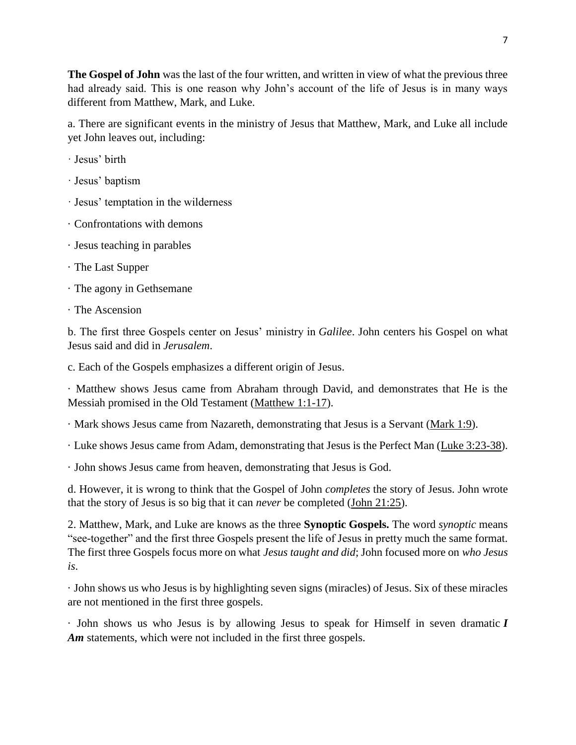**The Gospel of John** was the last of the four written, and written in view of what the previous three had already said. This is one reason why John's account of the life of Jesus is in many ways different from Matthew, Mark, and Luke.

a. There are significant events in the ministry of Jesus that Matthew, Mark, and Luke all include yet John leaves out, including:

- · Jesus' birth
- · Jesus' baptism
- · Jesus' temptation in the wilderness
- · Confrontations with demons
- · Jesus teaching in parables
- · The Last Supper
- · The agony in Gethsemane
- · The Ascension

b. The first three Gospels center on Jesus' ministry in *Galilee*. John centers his Gospel on what Jesus said and did in *Jerusalem*.

c. Each of the Gospels emphasizes a different origin of Jesus.

· Matthew shows Jesus came from Abraham through David, and demonstrates that He is the Messiah promised in the Old Testament [\(Matthew 1:1-17\)](https://www.blueletterbible.org/kjv/matthew/1/1-17/s_930001).

· Mark shows Jesus came from Nazareth, demonstrating that Jesus is a Servant [\(Mark 1:9\)](https://www.blueletterbible.org/kjv/mark/1/9/s_958009).

· Luke shows Jesus came from Adam, demonstrating that Jesus is the Perfect Man [\(Luke 3:23-38\)](https://www.blueletterbible.org/kjv/luke/3/23-38/s_976023).

· John shows Jesus came from heaven, demonstrating that Jesus is God.

d. However, it is wrong to think that the Gospel of John *completes* the story of Jesus. John wrote that the story of Jesus is so big that it can *never* be completed [\(John 21:25\)](https://www.blueletterbible.org/kjv/john/21/25/s_1018025).

2. Matthew, Mark, and Luke are knows as the three **Synoptic Gospels.** The word *synoptic* means "see-together" and the first three Gospels present the life of Jesus in pretty much the same format. The first three Gospels focus more on what *Jesus taught and did*; John focused more on *who Jesus is*.

· John shows us who Jesus is by highlighting seven signs (miracles) of Jesus. Six of these miracles are not mentioned in the first three gospels.

· John shows us who Jesus is by allowing Jesus to speak for Himself in seven dramatic *I*  Am statements, which were not included in the first three gospels.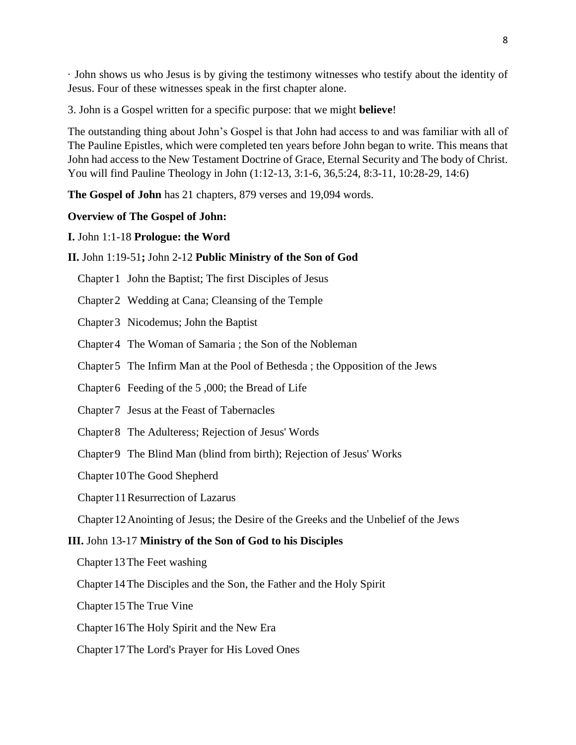· John shows us who Jesus is by giving the testimony witnesses who testify about the identity of Jesus. Four of these witnesses speak in the first chapter alone.

3. John is a Gospel written for a specific purpose: that we might **believe**!

The outstanding thing about John's Gospel is that John had access to and was familiar with all of The Pauline Epistles, which were completed ten years before John began to write. This means that John had access to the New Testament Doctrine of Grace, Eternal Security and The body of Christ. You will find Pauline Theology in John (1:12-13, 3:1-6, 36,5:24, 8:3-11, 10:28-29, 14:6)

**The Gospel of John** has 21 chapters, 879 verses and 19,094 words.

#### **Overview of The Gospel of John:**

#### **I.** John 1:1-18 **Prologue: the Word**

#### **II.** John 1:19-51**;** John 2**-**12 **Public Ministry of the Son of God**

- Chapter 1 John the Baptist; The first Disciples of Jesus
- Chapter 2 Wedding at Cana; Cleansing of the Temple
- Chapter 3 Nicodemus; John the Baptist
- Chapter 4 The Woman of Samaria ; the Son of the Nobleman
- Chapter 5 The Infirm Man at the Pool of Bethesda ; the Opposition of the Jews
- Chapter 6 Feeding of the 5 ,000; the Bread of Life
- Chapter 7 Jesus at the Feast of Tabernacles
- Chapter 8 The Adulteress; Rejection of Jesus' Words
- Chapter 9 The Blind Man (blind from birth); Rejection of Jesus' Works
- Chapter 10The Good Shepherd
- Chapter 11Resurrection of Lazarus
- Chapter 12Anointing of Jesus; the Desire of the Greeks and the Unbelief of the Jews

#### **III.** John 13**-**17 **Ministry of the Son of God to his Disciples**

- Chapter 13The Feet washing
- Chapter 14The Disciples and the Son, the Father and the Holy Spirit
- Chapter 15The True Vine
- Chapter 16The Holy Spirit and the New Era
- Chapter 17The Lord's Prayer for His Loved Ones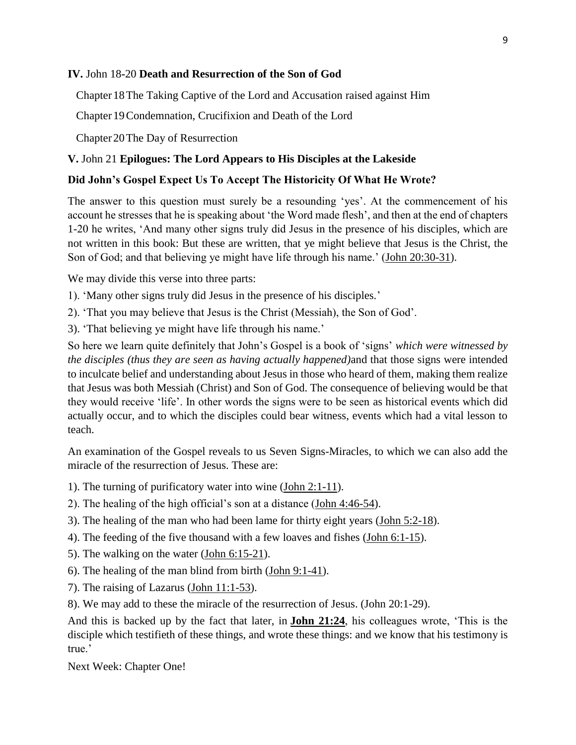#### **IV.** John 18**-**20 **Death and Resurrection of the Son of God**

Chapter 18 The Taking Captive of the Lord and Accusation raised against Him

Chapter 19 Condemnation, Crucifixion and Death of the Lord

Chapter 20The Day of Resurrection

#### **V.** John 21 **Epilogues: The Lord Appears to His Disciples at the Lakeside**

#### **Did John's Gospel Expect Us To Accept The Historicity Of What He Wrote?**

The answer to this question must surely be a resounding 'yes'. At the commencement of his account he stresses that he is speaking about 'the Word made flesh', and then at the end of chapters 1-20 he writes, 'And many other signs truly did Jesus in the presence of his disciples, which are not written in this book: But these are written, that ye might believe that Jesus is the Christ, the Son of God; and that believing ye might have life through his name.' [\(John 20:30-31\)](https://www.studylight.org/desk/index.cgi?q1=John+20:30-31&t1=en_nas).

We may divide this verse into three parts:

1). 'Many other signs truly did Jesus in the presence of his disciples*.*'

2). 'That you may believe that Jesus is the Christ (Messiah), the Son of God'.

3). 'That believing ye might have life through his name.'

So here we learn quite definitely that John's Gospel is a book of 'signs' *which were witnessed by the disciples (thus they are seen as having actually happened)*and that those signs were intended to inculcate belief and understanding about Jesus in those who heard of them, making them realize that Jesus was both Messiah (Christ) and Son of God. The consequence of believing would be that they would receive 'life'. In other words the signs were to be seen as historical events which did actually occur, and to which the disciples could bear witness, events which had a vital lesson to teach.

An examination of the Gospel reveals to us Seven Signs-Miracles, to which we can also add the miracle of the resurrection of Jesus. These are:

- 1). The turning of purificatory water into wine [\(John 2:1-11\)](https://www.studylight.org/desk/index.cgi?q1=John+2:1-11&t1=en_nas).
- 2). The healing of the high official's son at a distance [\(John 4:46-54\)](https://www.studylight.org/desk/index.cgi?q1=John+4:46-54&t1=en_nas).
- 3). The healing of the man who had been lame for thirty eight years [\(John 5:2-18\)](https://www.studylight.org/desk/index.cgi?q1=John+5:2-18&t1=en_nas).
- 4). The feeding of the five thousand with a few loaves and fishes [\(John 6:1-15\)](https://www.studylight.org/desk/index.cgi?q1=John+6:1-15&t1=en_nas).
- 5). The walking on the water [\(John 6:15-21\)](https://www.studylight.org/desk/index.cgi?q1=John+6:15-21&t1=en_nas).
- 6). The healing of the man blind from birth [\(John 9:1-41\)](https://www.studylight.org/desk/index.cgi?q1=John+9:1-41&t1=en_nas).
- 7). The raising of Lazarus [\(John 11:1-53\)](https://www.studylight.org/desk/index.cgi?q1=John+11:1-53&t1=en_nas).

8). We may add to these the miracle of the resurrection of Jesus. (John 20:1-29).

And this is backed up by the fact that later, in **[John 21:24](https://www.studylight.org/desk/index.cgi?q1=John+21:24&t1=en_nas)**, his colleagues wrote, 'This is the disciple which testifieth of these things, and wrote these things: and we know that his testimony is true<sup>'</sup>

Next Week: Chapter One!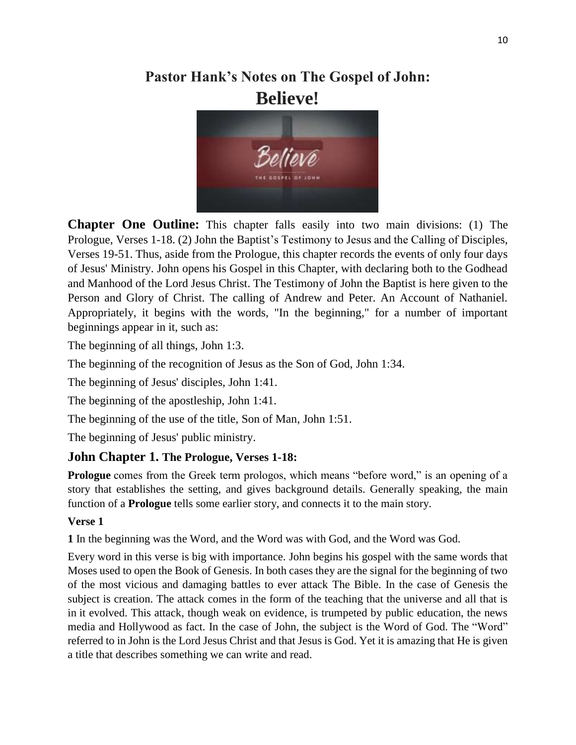# **Pastor Hank's Notes on The Gospel of John: Believe!**



**Chapter One Outline:** This chapter falls easily into two main divisions: (1) The Prologue, Verses 1-18. (2) John the Baptist's Testimony to Jesus and the Calling of Disciples, Verses 19-51. Thus, aside from the Prologue, this chapter records the events of only four days of Jesus' Ministry. John opens his Gospel in this Chapter, with declaring both to the Godhead and Manhood of the Lord Jesus Christ. The Testimony of John the Baptist is here given to the Person and Glory of Christ. The calling of Andrew and Peter. An Account of Nathaniel. Appropriately, it begins with the words, "In the beginning," for a number of important beginnings appear in it, such as:

The beginning of all things, John 1:3.

The beginning of the recognition of Jesus as the Son of God, John 1:34.

The beginning of Jesus' disciples, John 1:41.

The beginning of the apostleship, John 1:41.

The beginning of the use of the title, Son of Man, John 1:51.

The beginning of Jesus' public ministry.

# **John Chapter 1. The Prologue, Verses 1-18:**

**Prologue** comes from the Greek term prologos, which means "before word," is an opening of a story that establishes the setting, and gives background details. Generally speaking, the main function of a **Prologue** tells some earlier story, and connects it to the main story.

### **Verse 1**

**1** In the beginning was the Word, and the Word was with God, and the Word was God.

Every word in this verse is big with importance. John begins his gospel with the same words that Moses used to open the Book of Genesis. In both cases they are the signal for the beginning of two of the most vicious and damaging battles to ever attack The Bible. In the case of Genesis the subject is creation. The attack comes in the form of the teaching that the universe and all that is in it evolved. This attack, though weak on evidence, is trumpeted by public education, the news media and Hollywood as fact. In the case of John, the subject is the Word of God. The "Word" referred to in John is the Lord Jesus Christ and that Jesus is God. Yet it is amazing that He is given a title that describes something we can write and read.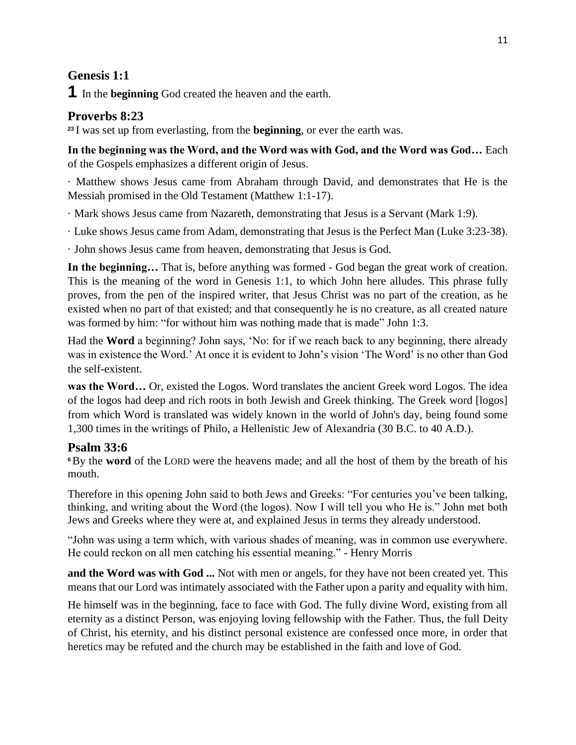# **Genesis 1:1**

**1** In the **beginning** God created the heaven and the earth.

# **Proverbs 8:23**

**<sup>23</sup>** I was set up from everlasting, from the **beginning**, or ever the earth was.

**In the beginning was the Word, and the Word was with God, and the Word was God…** Each of the Gospels emphasizes a different origin of Jesus.

· Matthew shows Jesus came from Abraham through David, and demonstrates that He is the Messiah promised in the Old Testament (Matthew 1:1-17).

· Mark shows Jesus came from Nazareth, demonstrating that Jesus is a Servant (Mark 1:9).

· Luke shows Jesus came from Adam, demonstrating that Jesus is the Perfect Man (Luke 3:23-38).

· John shows Jesus came from heaven, demonstrating that Jesus is God.

**In the beginning…** That is, before anything was formed - God began the great work of creation. This is the meaning of the word in Genesis 1:1, to which John here alludes. This phrase fully proves, from the pen of the inspired writer, that Jesus Christ was no part of the creation, as he existed when no part of that existed; and that consequently he is no creature, as all created nature was formed by him: "for without him was nothing made that is made" John 1:3.

Had the **Word** a beginning? John says, 'No: for if we reach back to any beginning, there already was in existence the Word.' At once it is evident to John's vision 'The Word' is no other than God the self-existent.

**was the Word…** Or, existed the Logos. Word translates the ancient Greek word Logos. The idea of the logos had deep and rich roots in both Jewish and Greek thinking. The Greek word [logos] from which Word is translated was widely known in the world of John's day, being found some 1,300 times in the writings of Philo, a Hellenistic Jew of Alexandria (30 B.C. to 40 A.D.).

# **Psalm 33:6**

**<sup>6</sup>**By the **word** of the LORD were the heavens made; and all the host of them by the breath of his mouth.

Therefore in this opening John said to both Jews and Greeks: "For centuries you've been talking, thinking, and writing about the Word (the logos). Now I will tell you who He is." John met both Jews and Greeks where they were at, and explained Jesus in terms they already understood.

"John was using a term which, with various shades of meaning, was in common use everywhere. He could reckon on all men catching his essential meaning." - Henry Morris

**and the Word was with God ...** Not with men or angels, for they have not been created yet. This means that our Lord was intimately associated with the Father upon a parity and equality with him.

He himself was in the beginning, face to face with God. The fully divine Word, existing from all eternity as a distinct Person, was enjoying loving fellowship with the Father. Thus, the full Deity of Christ, his eternity, and his distinct personal existence are confessed once more, in order that heretics may be refuted and the church may be established in the faith and love of God.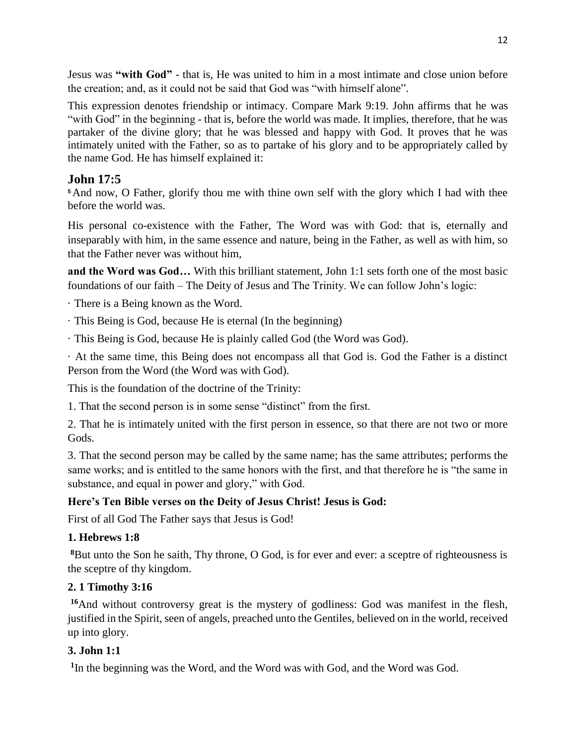Jesus was **"with God"** - that is, He was united to him in a most intimate and close union before the creation; and, as it could not be said that God was "with himself alone".

This expression denotes friendship or intimacy. Compare Mark 9:19. John affirms that he was "with God" in the beginning - that is, before the world was made. It implies, therefore, that he was partaker of the divine glory; that he was blessed and happy with God. It proves that he was intimately united with the Father, so as to partake of his glory and to be appropriately called by the name God. He has himself explained it:

# **John 17:5**

**<sup>5</sup>**And now, O Father, glorify thou me with thine own self with the glory which I had with thee before the world was.

His personal co-existence with the Father, The Word was with God: that is, eternally and inseparably with him, in the same essence and nature, being in the Father, as well as with him, so that the Father never was without him,

**and the Word was God…** With this brilliant statement, John 1:1 sets forth one of the most basic foundations of our faith – The Deity of Jesus and The Trinity. We can follow John's logic:

· There is a Being known as the Word.

- · This Being is God, because He is eternal (In the beginning)
- · This Being is God, because He is plainly called God (the Word was God).

· At the same time, this Being does not encompass all that God is. God the Father is a distinct Person from the Word (the Word was with God).

This is the foundation of the doctrine of the Trinity:

1. That the second person is in some sense "distinct" from the first.

2. That he is intimately united with the first person in essence, so that there are not two or more Gods.

3. That the second person may be called by the same name; has the same attributes; performs the same works; and is entitled to the same honors with the first, and that therefore he is "the same in substance, and equal in power and glory," with God.

# **Here's Ten Bible verses on the Deity of Jesus Christ! Jesus is God:**

First of all God The Father says that Jesus is God!

### **1. Hebrews 1:8**

**<sup>8</sup>**But unto the Son he saith, Thy throne, O God, is for ever and ever: a sceptre of righteousness is the sceptre of thy kingdom.

### **2. 1 Timothy 3:16**

**<sup>16</sup>**And without controversy great is the mystery of godliness: God was manifest in the flesh, justified in the Spirit, seen of angels, preached unto the Gentiles, believed on in the world, received up into glory.

### **3. John 1:1**

**1** In the beginning was the Word, and the Word was with God, and the Word was God.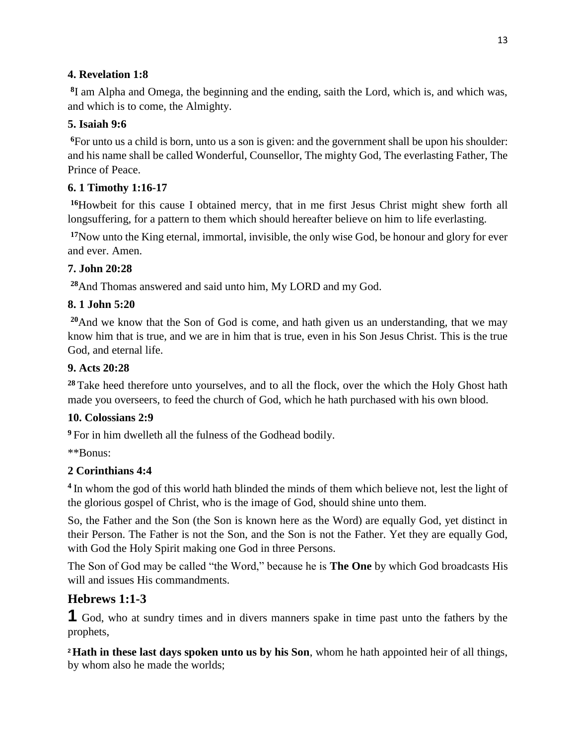## **4. Revelation 1:8**

**8** I am Alpha and Omega, the beginning and the ending, saith the Lord, which is, and which was, and which is to come, the Almighty.

# **5. Isaiah 9:6**

**<sup>6</sup>**For unto us a child is born, unto us a son is given: and the government shall be upon his shoulder: and his name shall be called Wonderful, Counsellor, The mighty God, The everlasting Father, The Prince of Peace.

# **6. 1 Timothy 1:16-17**

**<sup>16</sup>**Howbeit for this cause I obtained mercy, that in me first Jesus Christ might shew forth all longsuffering, for a pattern to them which should hereafter believe on him to life everlasting.

**<sup>17</sup>**Now unto the King eternal, immortal, invisible, the only wise God, be honour and glory for ever and ever. Amen.

# **7. John 20:28**

**<sup>28</sup>**And Thomas answered and said unto him, My LORD and my God.

# **8. 1 John 5:20**

**<sup>20</sup>**And we know that the Son of God is come, and hath given us an understanding, that we may know him that is true, and we are in him that is true, even in his Son Jesus Christ. This is the true God, and eternal life.

# **9. Acts 20:28**

<sup>28</sup> Take heed therefore unto yourselves, and to all the flock, over the which the Holy Ghost hath made you overseers, to feed the church of God, which he hath purchased with his own blood.

# **10. Colossians 2:9**

**<sup>9</sup>** For in him dwelleth all the fulness of the Godhead bodily.

\*\*Bonus:

# **2 Corinthians 4:4**

**4** In whom the god of this world hath blinded the minds of them which believe not, lest the light of the glorious gospel of Christ, who is the image of God, should shine unto them.

So, the Father and the Son (the Son is known here as the Word) are equally God, yet distinct in their Person. The Father is not the Son, and the Son is not the Father. Yet they are equally God, with God the Holy Spirit making one God in three Persons.

The Son of God may be called "the Word," because he is **The One** by which God broadcasts His will and issues His commandments.

# **Hebrews 1:1-3**

**1** God, who at sundry times and in divers manners spake in time past unto the fathers by the prophets,

**<sup>2</sup>Hath in these last days spoken unto us by his Son**, whom he hath appointed heir of all things, by whom also he made the worlds;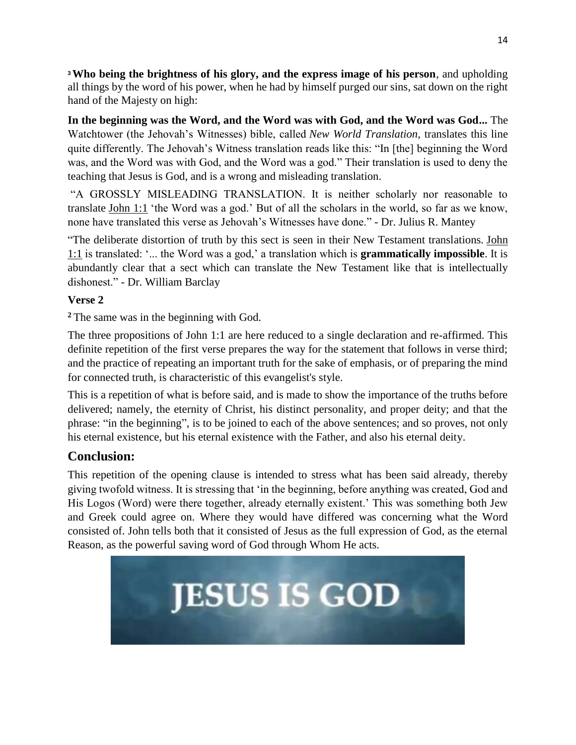**<sup>3</sup>Who being the brightness of his glory, and the express image of his person**, and upholding all things by the word of his power, when he had by himself purged our sins, sat down on the right hand of the Majesty on high:

**In the beginning was the Word, and the Word was with God, and the Word was God...** The Watchtower (the Jehovah's Witnesses) bible, called *New World Translation*, translates this line quite differently. The Jehovah's Witness translation reads like this: "In [the] beginning the Word was, and the Word was with God, and the Word was a god." Their translation is used to deny the teaching that Jesus is God, and is a wrong and misleading translation.

"A GROSSLY MISLEADING TRANSLATION. It is neither scholarly nor reasonable to translate [John 1:1](https://www.blueletterbible.org/kjv/john/1/1/s_998001) 'the Word was a god.' But of all the scholars in the world, so far as we know, none have translated this verse as Jehovah's Witnesses have done." - Dr. Julius R. Mantey

"The deliberate distortion of truth by this sect is seen in their New Testament translations. [John](https://www.blueletterbible.org/kjv/john/1/1/s_998001)  [1:1](https://www.blueletterbible.org/kjv/john/1/1/s_998001) is translated: '... the Word was a god,' a translation which is **grammatically impossible**. It is abundantly clear that a sect which can translate the New Testament like that is intellectually dishonest." - Dr. William Barclay

# **Verse 2**

**<sup>2</sup>** The same was in the beginning with God.

The three propositions of John 1:1 are here reduced to a single declaration and re-affirmed. This definite repetition of the first verse prepares the way for the statement that follows in verse third; and the practice of repeating an important truth for the sake of emphasis, or of preparing the mind for connected truth, is characteristic of this evangelist's style.

This is a repetition of what is before said, and is made to show the importance of the truths before delivered; namely, the eternity of Christ, his distinct personality, and proper deity; and that the phrase: "in the beginning", is to be joined to each of the above sentences; and so proves, not only his eternal existence, but his eternal existence with the Father, and also his eternal deity.

# **Conclusion:**

This repetition of the opening clause is intended to stress what has been said already, thereby giving twofold witness. It is stressing that 'in the beginning, before anything was created, God and His Logos (Word) were there together, already eternally existent.' This was something both Jew and Greek could agree on. Where they would have differed was concerning what the Word consisted of. John tells both that it consisted of Jesus as the full expression of God, as the eternal Reason, as the powerful saving word of God through Whom He acts.

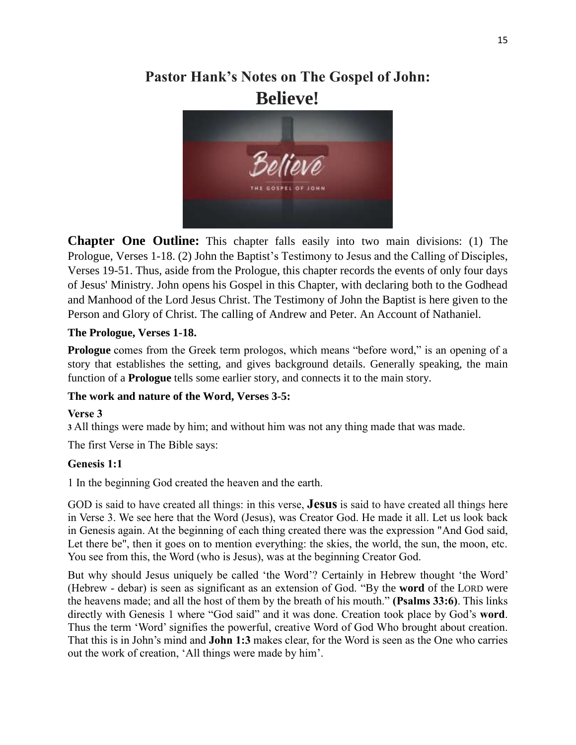# **Pastor Hank's Notes on The Gospel of John: Believe!**



**Chapter One Outline:** This chapter falls easily into two main divisions: (1) The Prologue, Verses 1-18. (2) John the Baptist's Testimony to Jesus and the Calling of Disciples, Verses 19-51. Thus, aside from the Prologue, this chapter records the events of only four days of Jesus' Ministry. John opens his Gospel in this Chapter, with declaring both to the Godhead and Manhood of the Lord Jesus Christ. The Testimony of John the Baptist is here given to the Person and Glory of Christ. The calling of Andrew and Peter. An Account of Nathaniel.

## **The Prologue, Verses 1-18.**

**Prologue** comes from the Greek term prologos, which means "before word," is an opening of a story that establishes the setting, and gives background details. Generally speaking, the main function of a **Prologue** tells some earlier story, and connects it to the main story.

# **The work and nature of the Word, Verses 3-5:**

### **Verse 3**

**3** All things were made by him; and without him was not any thing made that was made.

The first Verse in The Bible says:

### **Genesis 1:1**

1 In the beginning God created the heaven and the earth.

GOD is said to have created all things: in this verse, **Jesus** is said to have created all things here in Verse 3. We see here that the Word (Jesus), was Creator God. He made it all. Let us look back in Genesis again. At the beginning of each thing created there was the expression "And God said, Let there be", then it goes on to mention everything: the skies, the world, the sun, the moon, etc. You see from this, the Word (who is Jesus), was at the beginning Creator God.

But why should Jesus uniquely be called 'the Word'? Certainly in Hebrew thought 'the Word' (Hebrew - debar) is seen as significant as an extension of God. "By the **word** of the LORD were the heavens made; and all the host of them by the breath of his mouth." **(Psalms 33:6)**. This links directly with Genesis 1 where "God said" and it was done. Creation took place by God's **word**. Thus the term 'Word' signifies the powerful, creative Word of God Who brought about creation. That this is in John's mind and **John 1:3** makes clear, for the Word is seen as the One who carries out the work of creation, 'All things were made by him'.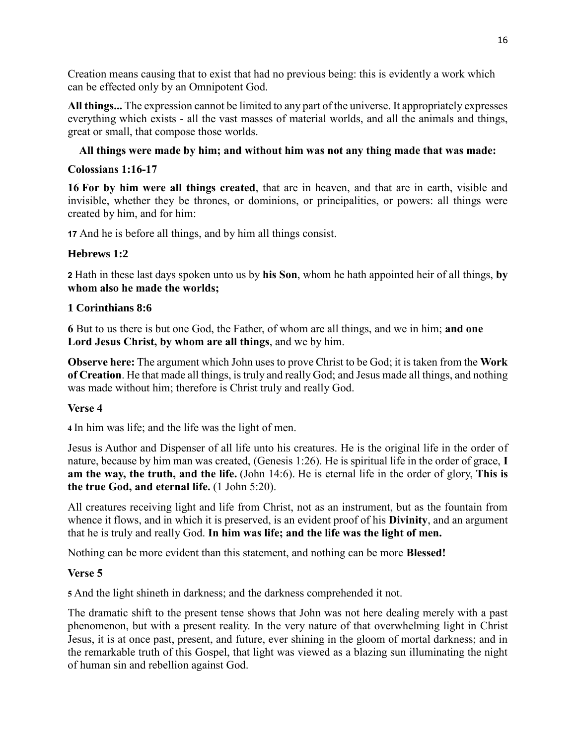Creation means causing that to exist that had no previous being: this is evidently a work which can be effected only by an Omnipotent God.

**All things...** The expression cannot be limited to any part of the universe. It appropriately expresses everything which exists - all the vast masses of material worlds, and all the animals and things, great or small, that compose those worlds.

## **All things were made by him; and without him was not any thing made that was made:**

### **Colossians 1:16-17**

**16 For by him were all things created**, that are in heaven, and that are in earth, visible and invisible, whether they be thrones, or dominions, or principalities, or powers: all things were created by him, and for him:

**17** And he is before all things, and by him all things consist.

### **Hebrews 1:2**

**2** Hath in these last days spoken unto us by **his Son**, whom he hath appointed heir of all things, **by whom also he made the worlds;**

#### **1 Corinthians 8:6**

**6** But to us there is but one God, the Father, of whom are all things, and we in him; **and one Lord Jesus Christ, by whom are all things**, and we by him.

**Observe here:** The argument which John uses to prove Christ to be God; it is taken from the **Work of Creation**. He that made all things, is truly and really God; and Jesus made all things, and nothing was made without him; therefore is Christ truly and really God.

### **Verse 4**

**4** In him was life; and the life was the light of men.

Jesus is Author and Dispenser of all life unto his creatures. He is the original life in the order of nature, because by him man was created, (Genesis 1:26). He is spiritual life in the order of grace, **I am the way, the truth, and the life.** (John 14:6). He is eternal life in the order of glory, **This is the true God, and eternal life.** (1 John 5:20).

All creatures receiving light and life from Christ, not as an instrument, but as the fountain from whence it flows, and in which it is preserved, is an evident proof of his **Divinity**, and an argument that he is truly and really God. **In him was life; and the life was the light of men.**

Nothing can be more evident than this statement, and nothing can be more **Blessed!**

### **Verse 5**

**5** And the light shineth in darkness; and the darkness comprehended it not.

The dramatic shift to the present tense shows that John was not here dealing merely with a past phenomenon, but with a present reality. In the very nature of that overwhelming light in Christ Jesus, it is at once past, present, and future, ever shining in the gloom of mortal darkness; and in the remarkable truth of this Gospel, that light was viewed as a blazing sun illuminating the night of human sin and rebellion against God.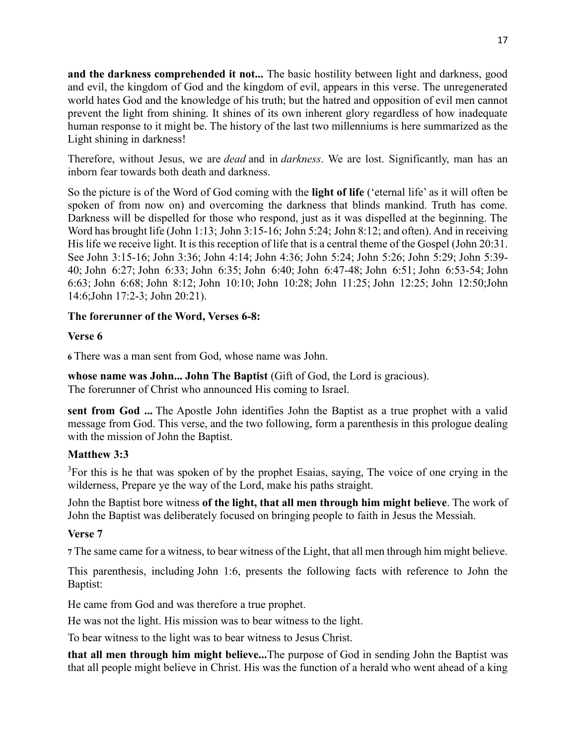**and the darkness comprehended it not...** The basic hostility between light and darkness, good and evil, the kingdom of God and the kingdom of evil, appears in this verse. The unregenerated world hates God and the knowledge of his truth; but the hatred and opposition of evil men cannot prevent the light from shining. It shines of its own inherent glory regardless of how inadequate human response to it might be. The history of the last two millenniums is here summarized as the Light shining in darkness!

Therefore, without Jesus, we are *dead* and in *darkness*. We are lost. Significantly, man has an inborn fear towards both death and darkness.

So the picture is of the Word of God coming with the **light of life** ('eternal life' as it will often be spoken of from now on) and overcoming the darkness that blinds mankind. Truth has come. Darkness will be dispelled for those who respond, just as it was dispelled at the beginning. The Word has brought life (John 1:13; John 3:15-16; John 5:24; John 8:12; and often). And in receiving His life we receive light. It is this reception of life that is a central theme of the Gospel (John 20:31. See John 3:15-16; John 3:36; John 4:14; John 4:36; John 5:24; John 5:26; John 5:29; John 5:39- 40; John 6:27; John 6:33; John 6:35; John 6:40; John 6:47-48; John 6:51; John 6:53-54; John 6:63; John 6:68; John 8:12; John 10:10; John 10:28; John 11:25; John 12:25; John 12:50;John 14:6;John 17:2-3; John 20:21).

### **The forerunner of the Word, Verses 6-8:**

## **Verse 6**

**6** There was a man sent from God, whose name was John.

**whose name was John... John The Baptist** (Gift of God, the Lord is gracious).

The forerunner of Christ who announced His coming to Israel.

**sent from God ...** The Apostle John identifies John the Baptist as a true prophet with a valid message from God. This verse, and the two following, form a parenthesis in this prologue dealing with the mission of John the Baptist.

# **Matthew 3:3**

 $3$ For this is he that was spoken of by the prophet Esaias, saying, The voice of one crying in the wilderness, Prepare ye the way of the Lord, make his paths straight.

John the Baptist bore witness **of the light, that all men through him might believe**. The work of John the Baptist was deliberately focused on bringing people to faith in Jesus the Messiah.

# **Verse 7**

**7** The same came for a witness, to bear witness of the Light, that all men through him might believe.

This parenthesis, including John 1:6, presents the following facts with reference to John the Baptist:

He came from God and was therefore a true prophet.

He was not the light. His mission was to bear witness to the light.

To bear witness to the light was to bear witness to Jesus Christ.

**that all men through him might believe...**The purpose of God in sending John the Baptist was that all people might believe in Christ. His was the function of a herald who went ahead of a king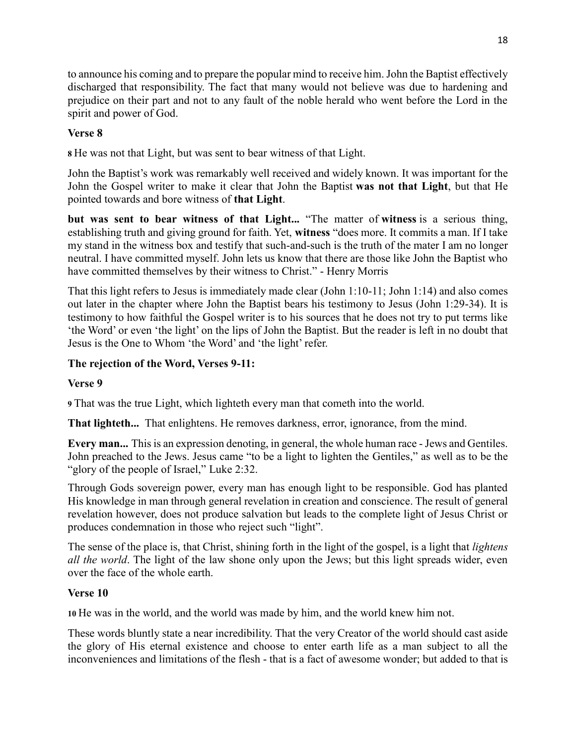to announce his coming and to prepare the popular mind to receive him. John the Baptist effectively discharged that responsibility. The fact that many would not believe was due to hardening and prejudice on their part and not to any fault of the noble herald who went before the Lord in the spirit and power of God.

## **Verse 8**

**8** He was not that Light, but was sent to bear witness of that Light.

John the Baptist's work was remarkably well received and widely known. It was important for the John the Gospel writer to make it clear that John the Baptist **was not that Light**, but that He pointed towards and bore witness of **that Light**.

**but was sent to bear witness of that Light...** "The matter of **witness** is a serious thing, establishing truth and giving ground for faith. Yet, **witness** "does more. It commits a man. If I take my stand in the witness box and testify that such-and-such is the truth of the mater I am no longer neutral. I have committed myself. John lets us know that there are those like John the Baptist who have committed themselves by their witness to Christ." - Henry Morris

That this light refers to Jesus is immediately made clear (John 1:10-11; John 1:14) and also comes out later in the chapter where John the Baptist bears his testimony to Jesus (John 1:29-34). It is testimony to how faithful the Gospel writer is to his sources that he does not try to put terms like 'the Word' or even 'the light' on the lips of John the Baptist. But the reader is left in no doubt that Jesus is the One to Whom 'the Word' and 'the light' refer.

### **The rejection of the Word, Verses 9-11:**

### **Verse 9**

**9** That was the true Light, which lighteth every man that cometh into the world.

**That lighteth...** That enlightens. He removes darkness, error, ignorance, from the mind.

**Every man...** This is an expression denoting, in general, the whole human race - Jews and Gentiles. John preached to the Jews. Jesus came "to be a light to lighten the Gentiles," as well as to be the "glory of the people of Israel," Luke 2:32.

Through Gods sovereign power, every man has enough light to be responsible. God has planted His knowledge in man through general revelation in creation and conscience. The result of general revelation however, does not produce salvation but leads to the complete light of Jesus Christ or produces condemnation in those who reject such "light".

The sense of the place is, that Christ, shining forth in the light of the gospel, is a light that *lightens all the world*. The light of the law shone only upon the Jews; but this light spreads wider, even over the face of the whole earth.

### **Verse 10**

**10** He was in the world, and the world was made by him, and the world knew him not.

These words bluntly state a near incredibility. That the very Creator of the world should cast aside the glory of His eternal existence and choose to enter earth life as a man subject to all the inconveniences and limitations of the flesh - that is a fact of awesome wonder; but added to that is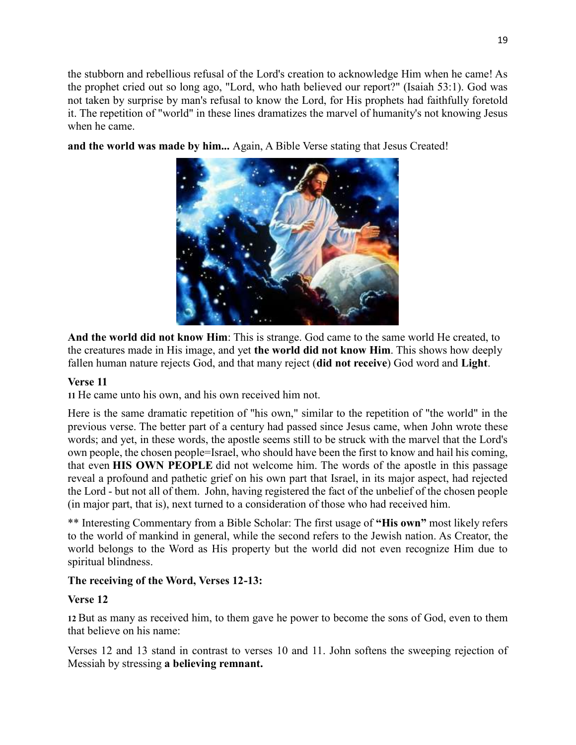the stubborn and rebellious refusal of the Lord's creation to acknowledge Him when he came! As the prophet cried out so long ago, "Lord, who hath believed our report?" (Isaiah 53:1). God was not taken by surprise by man's refusal to know the Lord, for His prophets had faithfully foretold it. The repetition of "world" in these lines dramatizes the marvel of humanity's not knowing Jesus when he came.

**and the world was made by him...** Again, A Bible Verse stating that Jesus Created!



**And the world did not know Him**: This is strange. God came to the same world He created, to the creatures made in His image, and yet **the world did not know Him**. This shows how deeply fallen human nature rejects God, and that many reject (**did not receive**) God word and **Light**.

# **Verse 11**

**11** He came unto his own, and his own received him not.

Here is the same dramatic repetition of "his own," similar to the repetition of "the world" in the previous verse. The better part of a century had passed since Jesus came, when John wrote these words; and yet, in these words, the apostle seems still to be struck with the marvel that the Lord's own people, the chosen people=Israel, who should have been the first to know and hail his coming, that even **HIS OWN PEOPLE** did not welcome him. The words of the apostle in this passage reveal a profound and pathetic grief on his own part that Israel, in its major aspect, had rejected the Lord - but not all of them. John, having registered the fact of the unbelief of the chosen people (in major part, that is), next turned to a consideration of those who had received him.

\*\* Interesting Commentary from a Bible Scholar: The first usage of **"His own"** most likely refers to the world of mankind in general, while the second refers to the Jewish nation. As Creator, the world belongs to the Word as His property but the world did not even recognize Him due to spiritual blindness.

# **The receiving of the Word, Verses 12-13:**

# **Verse 12**

**12** But as many as received him, to them gave he power to become the sons of God, even to them that believe on his name:

Verses 12 and 13 stand in contrast to verses 10 and 11. John softens the sweeping rejection of Messiah by stressing **a believing remnant.**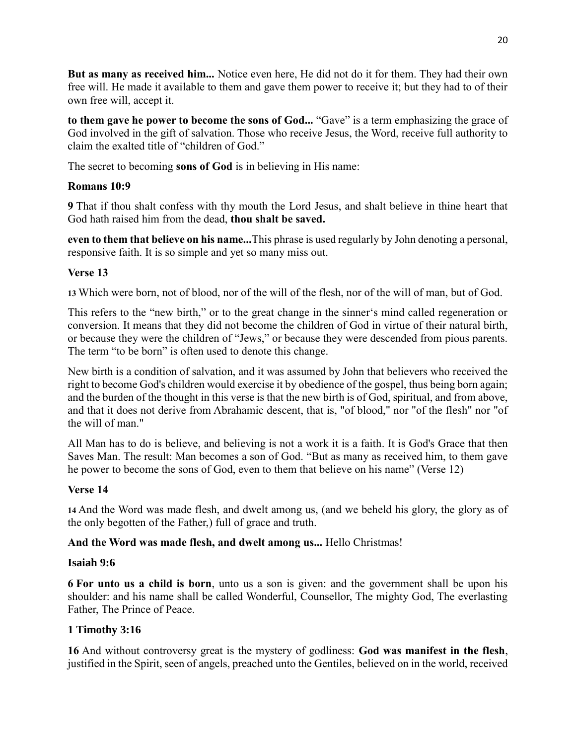**But as many as received him...** Notice even here, He did not do it for them. They had their own free will. He made it available to them and gave them power to receive it; but they had to of their own free will, accept it.

**to them gave he power to become the sons of God...** "Gave" is a term emphasizing the grace of God involved in the gift of salvation. Those who receive Jesus, the Word, receive full authority to claim the exalted title of "children of God."

The secret to becoming **sons of God** is in believing in His name:

### **Romans 10:9**

**9** That if thou shalt confess with thy mouth the Lord Jesus, and shalt believe in thine heart that God hath raised him from the dead, **thou shalt be saved.**

**even to them that believe on his name...**This phrase is used regularly by John denoting a personal, responsive faith. It is so simple and yet so many miss out.

# **Verse 13**

**13** Which were born, not of blood, nor of the will of the flesh, nor of the will of man, but of God.

This refers to the "new birth," or to the great change in the sinner's mind called regeneration or conversion. It means that they did not become the children of God in virtue of their natural birth, or because they were the children of "Jews," or because they were descended from pious parents. The term "to be born" is often used to denote this change.

New birth is a condition of salvation, and it was assumed by John that believers who received the right to become God's children would exercise it by obedience of the gospel, thus being born again; and the burden of the thought in this verse is that the new birth is of God, spiritual, and from above, and that it does not derive from Abrahamic descent, that is, "of blood," nor "of the flesh" nor "of the will of man."

All Man has to do is believe, and believing is not a work it is a faith. It is God's Grace that then Saves Man. The result: Man becomes a son of God. "But as many as received him, to them gave he power to become the sons of God, even to them that believe on his name" (Verse 12)

# **Verse 14**

**14** And the Word was made flesh, and dwelt among us, (and we beheld his glory, the glory as of the only begotten of the Father,) full of grace and truth.

### **And the Word was made flesh, and dwelt among us...** Hello Christmas!

### **Isaiah 9:6**

**6 For unto us a child is born**, unto us a son is given: and the government shall be upon his shoulder: and his name shall be called Wonderful, Counsellor, The mighty God, The everlasting Father, The Prince of Peace.

# **1 Timothy 3:16**

**16** And without controversy great is the mystery of godliness: **God was manifest in the flesh**, justified in the Spirit, seen of angels, preached unto the Gentiles, believed on in the world, received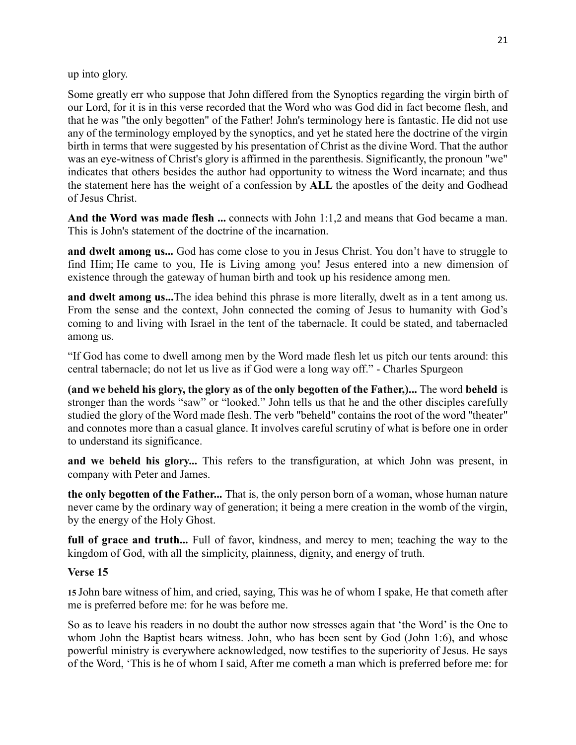up into glory.

Some greatly err who suppose that John differed from the Synoptics regarding the virgin birth of our Lord, for it is in this verse recorded that the Word who was God did in fact become flesh, and that he was "the only begotten" of the Father! John's terminology here is fantastic. He did not use any of the terminology employed by the synoptics, and yet he stated here the doctrine of the virgin birth in terms that were suggested by his presentation of Christ as the divine Word. That the author was an eye-witness of Christ's glory is affirmed in the parenthesis. Significantly, the pronoun "we" indicates that others besides the author had opportunity to witness the Word incarnate; and thus the statement here has the weight of a confession by **ALL** the apostles of the deity and Godhead of Jesus Christ.

And the Word was made flesh ... connects with John 1:1,2 and means that God became a man. This is John's statement of the doctrine of the incarnation.

**and dwelt among us...** God has come close to you in Jesus Christ. You don't have to struggle to find Him; He came to you, He is Living among you! Jesus entered into a new dimension of existence through the gateway of human birth and took up his residence among men.

**and dwelt among us...**The idea behind this phrase is more literally, dwelt as in a tent among us. From the sense and the context, John connected the coming of Jesus to humanity with God's coming to and living with Israel in the tent of the tabernacle. It could be stated, and tabernacled among us.

"If God has come to dwell among men by the Word made flesh let us pitch our tents around: this central tabernacle; do not let us live as if God were a long way off." - Charles Spurgeon

**(and we beheld his glory, the glory as of the only begotten of the Father,)...** The word **beheld** is stronger than the words "saw" or "looked." John tells us that he and the other disciples carefully studied the glory of the Word made flesh. The verb "beheld" contains the root of the word "theater" and connotes more than a casual glance. It involves careful scrutiny of what is before one in order to understand its significance.

**and we beheld his glory...** This refers to the transfiguration, at which John was present, in company with Peter and James.

**the only begotten of the Father...** That is, the only person born of a woman, whose human nature never came by the ordinary way of generation; it being a mere creation in the womb of the virgin, by the energy of the Holy Ghost.

**full of grace and truth...** Full of favor, kindness, and mercy to men; teaching the way to the kingdom of God, with all the simplicity, plainness, dignity, and energy of truth.

### **Verse 15**

**15** John bare witness of him, and cried, saying, This was he of whom I spake, He that cometh after me is preferred before me: for he was before me.

So as to leave his readers in no doubt the author now stresses again that 'the Word' is the One to whom John the Baptist bears witness. John, who has been sent by God (John 1:6), and whose powerful ministry is everywhere acknowledged, now testifies to the superiority of Jesus. He says of the Word, 'This is he of whom I said, After me cometh a man which is preferred before me: for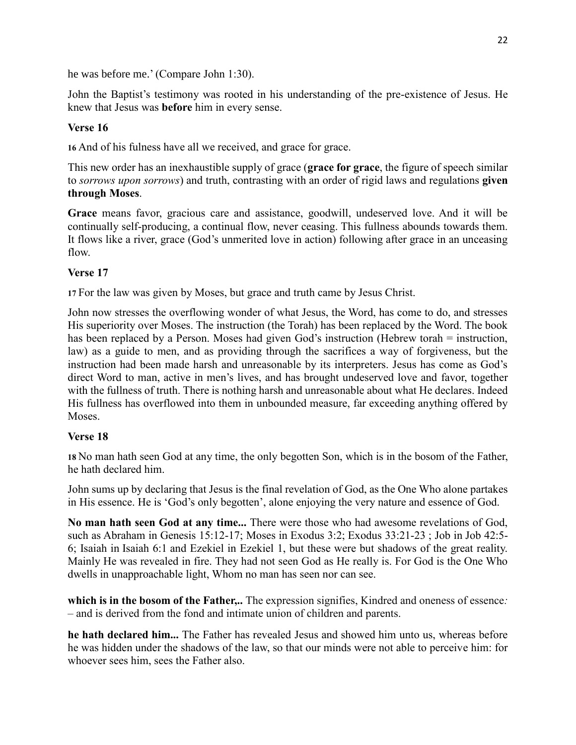he was before me.' (Compare John 1:30).

John the Baptist's testimony was rooted in his understanding of the pre-existence of Jesus. He knew that Jesus was **before** him in every sense.

# **Verse 16**

**16** And of his fulness have all we received, and grace for grace.

This new order has an inexhaustible supply of grace (**grace for grace**, the figure of speech similar to *sorrows upon sorrows*) and truth, contrasting with an order of rigid laws and regulations **given through Moses**.

**Grace** means favor, gracious care and assistance, goodwill, undeserved love. And it will be continually self-producing, a continual flow, never ceasing. This fullness abounds towards them. It flows like a river, grace (God's unmerited love in action) following after grace in an unceasing flow.

## **Verse 17**

**17** For the law was given by Moses, but grace and truth came by Jesus Christ.

John now stresses the overflowing wonder of what Jesus, the Word, has come to do, and stresses His superiority over Moses. The instruction (the Torah) has been replaced by the Word. The book has been replaced by a Person. Moses had given God's instruction (Hebrew torah = instruction, law) as a guide to men, and as providing through the sacrifices a way of forgiveness, but the instruction had been made harsh and unreasonable by its interpreters. Jesus has come as God's direct Word to man, active in men's lives, and has brought undeserved love and favor, together with the fullness of truth. There is nothing harsh and unreasonable about what He declares. Indeed His fullness has overflowed into them in unbounded measure, far exceeding anything offered by **Moses** 

### **Verse 18**

**18** No man hath seen God at any time, the only begotten Son, which is in the bosom of the Father, he hath declared him.

John sums up by declaring that Jesus is the final revelation of God, as the One Who alone partakes in His essence. He is 'God's only begotten', alone enjoying the very nature and essence of God.

**No man hath seen God at any time...** There were those who had awesome revelations of God, such as Abraham in Genesis 15:12-17; Moses in Exodus 3:2; Exodus 33:21-23 ; Job in Job 42:5- 6; Isaiah in Isaiah 6:1 and Ezekiel in Ezekiel 1, but these were but shadows of the great reality. Mainly He was revealed in fire. They had not seen God as He really is. For God is the One Who dwells in unapproachable light, Whom no man has seen nor can see.

**which is in the bosom of the Father,..** The expression signifies, Kindred and oneness of essence*:* – and is derived from the fond and intimate union of children and parents.

**he hath declared him...** The Father has revealed Jesus and showed him unto us, whereas before he was hidden under the shadows of the law, so that our minds were not able to perceive him: for whoever sees him, sees the Father also.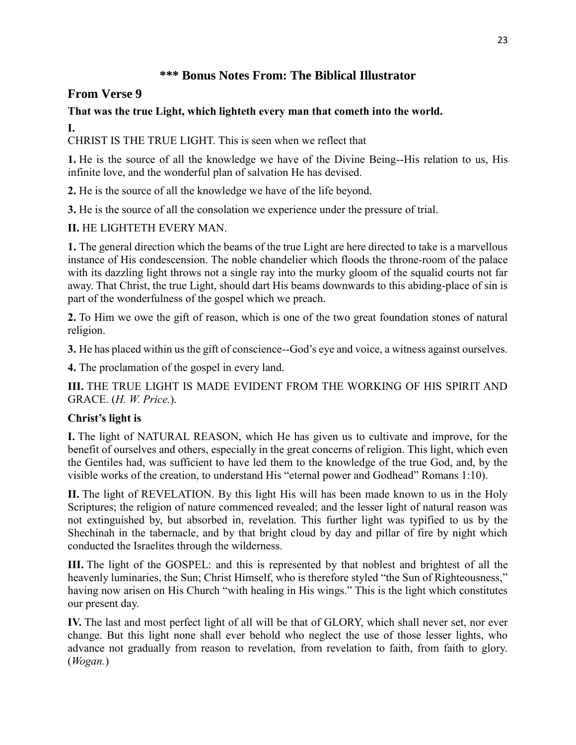# **\*\*\* Bonus Notes From: The Biblical Illustrator**

# **From Verse 9**

# **That was the true Light, which lighteth every man that cometh into the world.**

**I.**

CHRIST IS THE TRUE LIGHT. This is seen when we reflect that

**1.** He is the source of all the knowledge we have of the Divine Being--His relation to us, His infinite love, and the wonderful plan of salvation He has devised.

**2.** He is the source of all the knowledge we have of the life beyond.

**3.** He is the source of all the consolation we experience under the pressure of trial.

# **II.** HE LIGHTETH EVERY MAN.

**1.** The general direction which the beams of the true Light are here directed to take is a marvellous instance of His condescension. The noble chandelier which floods the throne-room of the palace with its dazzling light throws not a single ray into the murky gloom of the squalid courts not far away. That Christ, the true Light, should dart His beams downwards to this abiding-place of sin is part of the wonderfulness of the gospel which we preach.

**2.** To Him we owe the gift of reason, which is one of the two great foundation stones of natural religion.

**3.** He has placed within us the gift of conscience--God's eye and voice, a witness against ourselves.

**4.** The proclamation of the gospel in every land.

**III.** THE TRUE LIGHT IS MADE EVIDENT FROM THE WORKING OF HIS SPIRIT AND GRACE. (*H. W. Price.*).

# **Christ's light is**

**I.** The light of NATURAL REASON, which He has given us to cultivate and improve, for the benefit of ourselves and others, especially in the great concerns of religion. This light, which even the Gentiles had, was sufficient to have led them to the knowledge of the true God, and, by the visible works of the creation, to understand His "eternal power and Godhead" Romans 1:10).

**II.** The light of REVELATION. By this light His will has been made known to us in the Holy Scriptures; the religion of nature commenced revealed; and the lesser light of natural reason was not extinguished by, but absorbed in, revelation. This further light was typified to us by the Shechinah in the tabernacle, and by that bright cloud by day and pillar of fire by night which conducted the Israelites through the wilderness.

**III.** The light of the GOSPEL: and this is represented by that noblest and brightest of all the heavenly luminaries, the Sun; Christ Himself, who is therefore styled "the Sun of Righteousness," having now arisen on His Church "with healing in His wings." This is the light which constitutes our present day.

**IV.** The last and most perfect light of all will be that of GLORY, which shall never set, nor ever change. But this light none shall ever behold who neglect the use of those lesser lights, who advance not gradually from reason to revelation, from revelation to faith, from faith to glory. (*Wogan.*)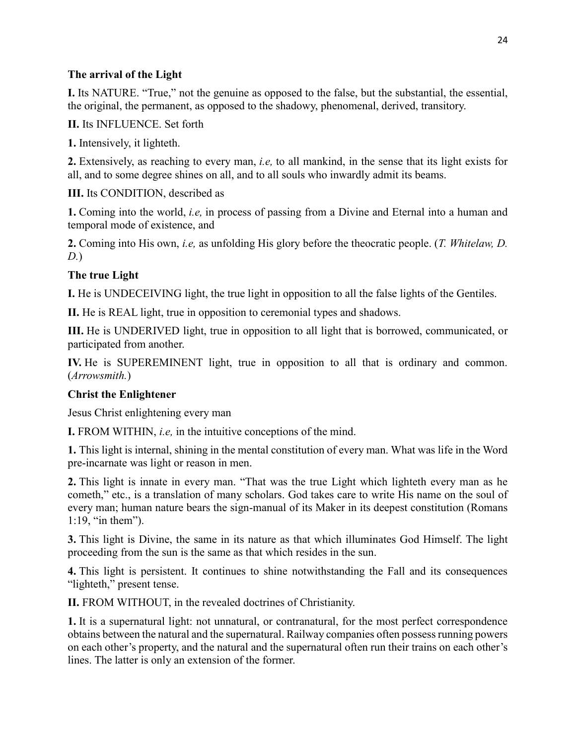## **The arrival of the Light**

**I.** Its NATURE. "True," not the genuine as opposed to the false, but the substantial, the essential, the original, the permanent, as opposed to the shadowy, phenomenal, derived, transitory.

### **II.** Its INFLUENCE. Set forth

**1.** Intensively, it lighteth.

**2.** Extensively, as reaching to every man, *i.e,* to all mankind, in the sense that its light exists for all, and to some degree shines on all, and to all souls who inwardly admit its beams.

## **III.** Its CONDITION, described as

**1.** Coming into the world, *i.e,* in process of passing from a Divine and Eternal into a human and temporal mode of existence, and

**2.** Coming into His own, *i.e,* as unfolding His glory before the theocratic people. (*T. Whitelaw, D. D.*)

# **The true Light**

**I.** He is UNDECEIVING light, the true light in opposition to all the false lights of the Gentiles.

**II.** He is REAL light, true in opposition to ceremonial types and shadows.

**III.** He is UNDERIVED light, true in opposition to all light that is borrowed, communicated, or participated from another.

**IV.** He is SUPEREMINENT light, true in opposition to all that is ordinary and common. (*Arrowsmith.*)

# **Christ the Enlightener**

Jesus Christ enlightening every man

**I.** FROM WITHIN, *i.e,* in the intuitive conceptions of the mind.

**1.** This light is internal, shining in the mental constitution of every man. What was life in the Word pre-incarnate was light or reason in men.

**2.** This light is innate in every man. "That was the true Light which lighteth every man as he cometh," etc., is a translation of many scholars. God takes care to write His name on the soul of every man; human nature bears the sign-manual of its Maker in its deepest constitution (Romans 1:19, "in them").

**3.** This light is Divine, the same in its nature as that which illuminates God Himself. The light proceeding from the sun is the same as that which resides in the sun.

**4.** This light is persistent. It continues to shine notwithstanding the Fall and its consequences "lighteth," present tense.

**II.** FROM WITHOUT, in the revealed doctrines of Christianity.

**1.** It is a supernatural light: not unnatural, or contranatural, for the most perfect correspondence obtains between the natural and the supernatural. Railway companies often possess running powers on each other's property, and the natural and the supernatural often run their trains on each other's lines. The latter is only an extension of the former.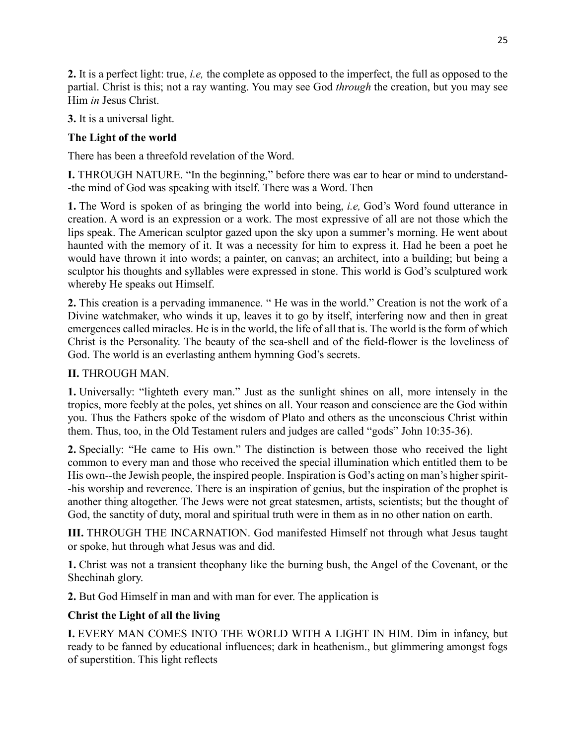**2.** It is a perfect light: true, *i.e,* the complete as opposed to the imperfect, the full as opposed to the partial. Christ is this; not a ray wanting. You may see God *through* the creation, but you may see Him *in* Jesus Christ.

**3.** It is a universal light.

# **The Light of the world**

There has been a threefold revelation of the Word.

**I.** THROUGH NATURE. "In the beginning," before there was ear to hear or mind to understand- -the mind of God was speaking with itself. There was a Word. Then

**1.** The Word is spoken of as bringing the world into being, *i.e,* God's Word found utterance in creation. A word is an expression or a work. The most expressive of all are not those which the lips speak. The American sculptor gazed upon the sky upon a summer's morning. He went about haunted with the memory of it. It was a necessity for him to express it. Had he been a poet he would have thrown it into words; a painter, on canvas; an architect, into a building; but being a sculptor his thoughts and syllables were expressed in stone. This world is God's sculptured work whereby He speaks out Himself.

**2.** This creation is a pervading immanence. " He was in the world." Creation is not the work of a Divine watchmaker, who winds it up, leaves it to go by itself, interfering now and then in great emergences called miracles. He is in the world, the life of all that is. The world is the form of which Christ is the Personality. The beauty of the sea-shell and of the field-flower is the loveliness of God. The world is an everlasting anthem hymning God's secrets.

# **II.** THROUGH MAN.

**1.** Universally: "lighteth every man." Just as the sunlight shines on all, more intensely in the tropics, more feebly at the poles, yet shines on all. Your reason and conscience are the God within you. Thus the Fathers spoke of the wisdom of Plato and others as the unconscious Christ within them. Thus, too, in the Old Testament rulers and judges are called "gods" John 10:35-36).

**2.** Specially: "He came to His own." The distinction is between those who received the light common to every man and those who received the special illumination which entitled them to be His own--the Jewish people, the inspired people. Inspiration is God's acting on man's higher spirit--his worship and reverence. There is an inspiration of genius, but the inspiration of the prophet is another thing altogether. The Jews were not great statesmen, artists, scientists; but the thought of God, the sanctity of duty, moral and spiritual truth were in them as in no other nation on earth.

**III.** THROUGH THE INCARNATION. God manifested Himself not through what Jesus taught or spoke, hut through what Jesus was and did.

**1.** Christ was not a transient theophany like the burning bush, the Angel of the Covenant, or the Shechinah glory.

**2.** But God Himself in man and with man for ever. The application is

# **Christ the Light of all the living**

**I.** EVERY MAN COMES INTO THE WORLD WITH A LIGHT IN HIM. Dim in infancy, but ready to be fanned by educational influences; dark in heathenism., but glimmering amongst fogs of superstition. This light reflects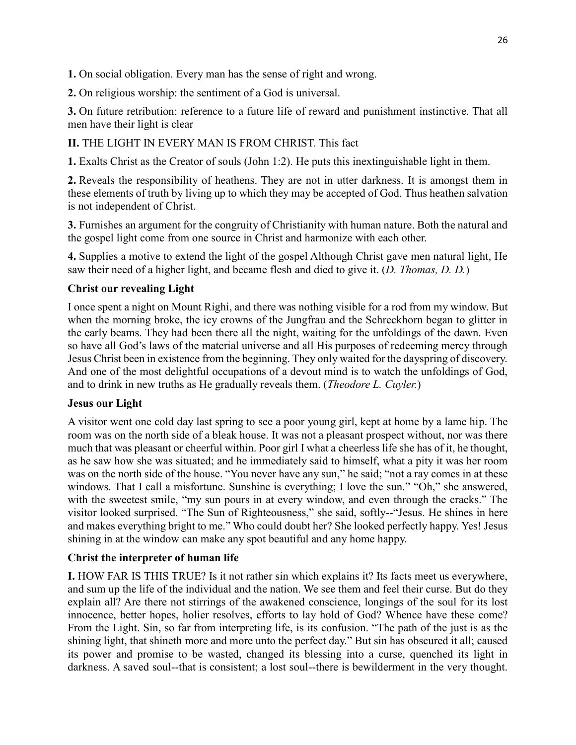**1.** On social obligation. Every man has the sense of right and wrong.

**2.** On religious worship: the sentiment of a God is universal.

**3.** On future retribution: reference to a future life of reward and punishment instinctive. That all men have their light is clear

# **II.** THE LIGHT IN EVERY MAN IS FROM CHRIST. This fact

**1.** Exalts Christ as the Creator of souls (John 1:2). He puts this inextinguishable light in them.

**2.** Reveals the responsibility of heathens. They are not in utter darkness. It is amongst them in these elements of truth by living up to which they may be accepted of God. Thus heathen salvation is not independent of Christ.

**3.** Furnishes an argument for the congruity of Christianity with human nature. Both the natural and the gospel light come from one source in Christ and harmonize with each other.

**4.** Supplies a motive to extend the light of the gospel Although Christ gave men natural light, He saw their need of a higher light, and became flesh and died to give it. (*D. Thomas, D. D.*)

## **Christ our revealing Light**

I once spent a night on Mount Righi, and there was nothing visible for a rod from my window. But when the morning broke, the icy crowns of the Jungfrau and the Schreckhorn began to glitter in the early beams. They had been there all the night, waiting for the unfoldings of the dawn. Even so have all God's laws of the material universe and all His purposes of redeeming mercy through Jesus Christ been in existence from the beginning. They only waited for the dayspring of discovery. And one of the most delightful occupations of a devout mind is to watch the unfoldings of God, and to drink in new truths as He gradually reveals them. (*Theodore L. Cuyler.*)

### **Jesus our Light**

A visitor went one cold day last spring to see a poor young girl, kept at home by a lame hip. The room was on the north side of a bleak house. It was not a pleasant prospect without, nor was there much that was pleasant or cheerful within. Poor girl I what a cheerless life she has of it, he thought, as he saw how she was situated; and he immediately said to himself, what a pity it was her room was on the north side of the house. "You never have any sun," he said; "not a ray comes in at these windows. That I call a misfortune. Sunshine is everything; I love the sun." "Oh," she answered, with the sweetest smile, "my sun pours in at every window, and even through the cracks." The visitor looked surprised. "The Sun of Righteousness," she said, softly--"Jesus. He shines in here and makes everything bright to me." Who could doubt her? She looked perfectly happy. Yes! Jesus shining in at the window can make any spot beautiful and any home happy.

# **Christ the interpreter of human life**

**I.** HOW FAR IS THIS TRUE? Is it not rather sin which explains it? Its facts meet us everywhere, and sum up the life of the individual and the nation. We see them and feel their curse. But do they explain all? Are there not stirrings of the awakened conscience, longings of the soul for its lost innocence, better hopes, holier resolves, efforts to lay hold of God? Whence have these come? From the Light. Sin, so far from interpreting life, is its confusion. "The path of the just is as the shining light, that shineth more and more unto the perfect day." But sin has obscured it all; caused its power and promise to be wasted, changed its blessing into a curse, quenched its light in darkness. A saved soul--that is consistent; a lost soul--there is bewilderment in the very thought.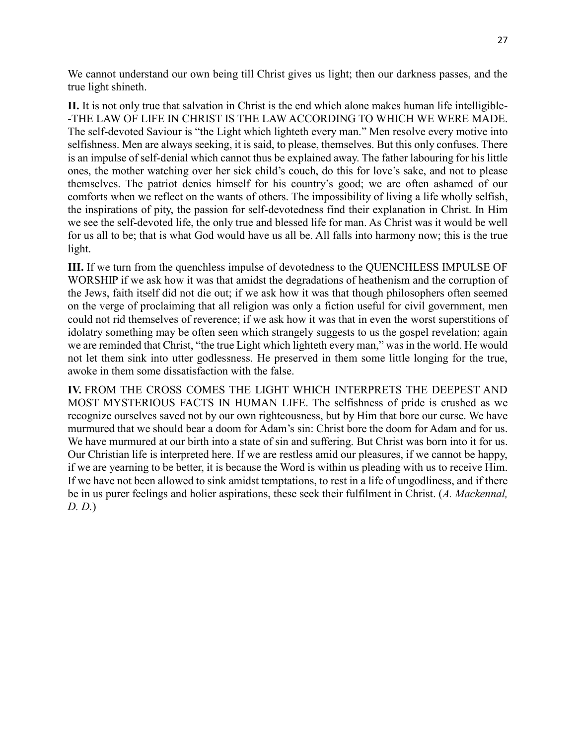We cannot understand our own being till Christ gives us light; then our darkness passes, and the true light shineth.

**II.** It is not only true that salvation in Christ is the end which alone makes human life intelligible- -THE LAW OF LIFE IN CHRIST IS THE LAW ACCORDING TO WHICH WE WERE MADE. The self-devoted Saviour is "the Light which lighteth every man." Men resolve every motive into selfishness. Men are always seeking, it is said, to please, themselves. But this only confuses. There is an impulse of self-denial which cannot thus be explained away. The father labouring for his little ones, the mother watching over her sick child's couch, do this for love's sake, and not to please themselves. The patriot denies himself for his country's good; we are often ashamed of our comforts when we reflect on the wants of others. The impossibility of living a life wholly selfish, the inspirations of pity, the passion for self-devotedness find their explanation in Christ. In Him we see the self-devoted life, the only true and blessed life for man. As Christ was it would be well for us all to be; that is what God would have us all be. All falls into harmony now; this is the true light.

**III.** If we turn from the quenchless impulse of devotedness to the QUENCHLESS IMPULSE OF WORSHIP if we ask how it was that amidst the degradations of heathenism and the corruption of the Jews, faith itself did not die out; if we ask how it was that though philosophers often seemed on the verge of proclaiming that all religion was only a fiction useful for civil government, men could not rid themselves of reverence; if we ask how it was that in even the worst superstitions of idolatry something may be often seen which strangely suggests to us the gospel revelation; again we are reminded that Christ, "the true Light which lighteth every man," was in the world. He would not let them sink into utter godlessness. He preserved in them some little longing for the true, awoke in them some dissatisfaction with the false.

**IV.** FROM THE CROSS COMES THE LIGHT WHICH INTERPRETS THE DEEPEST AND MOST MYSTERIOUS FACTS IN HUMAN LIFE. The selfishness of pride is crushed as we recognize ourselves saved not by our own righteousness, but by Him that bore our curse. We have murmured that we should bear a doom for Adam's sin: Christ bore the doom for Adam and for us. We have murmured at our birth into a state of sin and suffering. But Christ was born into it for us. Our Christian life is interpreted here. If we are restless amid our pleasures, if we cannot be happy, if we are yearning to be better, it is because the Word is within us pleading with us to receive Him. If we have not been allowed to sink amidst temptations, to rest in a life of ungodliness, and if there be in us purer feelings and holier aspirations, these seek their fulfilment in Christ. (*A. Mackennal, D. D.*)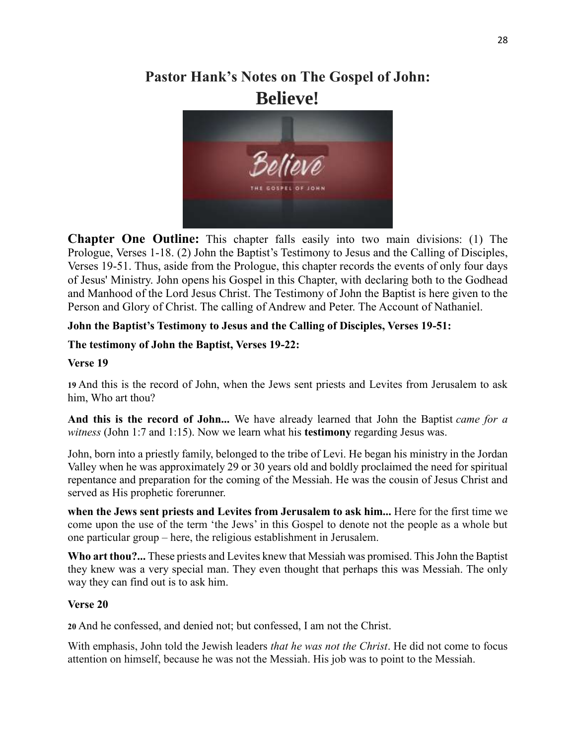# **Pastor Hank's Notes on The Gospel of John: Believe!**



**Chapter One Outline:** This chapter falls easily into two main divisions: (1) The Prologue, Verses 1-18. (2) John the Baptist's Testimony to Jesus and the Calling of Disciples, Verses 19-51. Thus, aside from the Prologue, this chapter records the events of only four days of Jesus' Ministry. John opens his Gospel in this Chapter, with declaring both to the Godhead and Manhood of the Lord Jesus Christ. The Testimony of John the Baptist is here given to the Person and Glory of Christ. The calling of Andrew and Peter. The Account of Nathaniel.

## **John the Baptist's Testimony to Jesus and the Calling of Disciples, Verses 19-51:**

### **The testimony of John the Baptist, Verses 19-22:**

#### **Verse 19**

**19** And this is the record of John, when the Jews sent priests and Levites from Jerusalem to ask him, Who art thou?

**And this is the record of John...** We have already learned that John the Baptist *came for a witness* [\(John 1:7](https://www.blueletterbible.org/kjv/john/1/7/s_998007) and [1:15\)](https://www.blueletterbible.org/kjv/john/1/15/s_998015). Now we learn what his **testimony** regarding Jesus was.

John, born into a priestly family, belonged to the tribe of Levi. He began his ministry in the Jordan Valley when he was approximately 29 or 30 years old and boldly proclaimed the need for spiritual repentance and preparation for the coming of the Messiah. He was the cousin of Jesus Christ and served as His prophetic forerunner.

**when the Jews sent priests and Levites from Jerusalem to ask him...** Here for the first time we come upon the use of the term 'the Jews' in this Gospel to denote not the people as a whole but one particular group – here, the religious establishment in Jerusalem.

**Who art thou?...** These priests and Levites knew that Messiah was promised. This John the Baptist they knew was a very special man. They even thought that perhaps this was Messiah. The only way they can find out is to ask him.

#### **Verse 20**

**20** And he confessed, and denied not; but confessed, I am not the Christ.

With emphasis, John told the Jewish leaders *that he was not the Christ*. He did not come to focus attention on himself, because he was not the Messiah. His job was to point to the Messiah.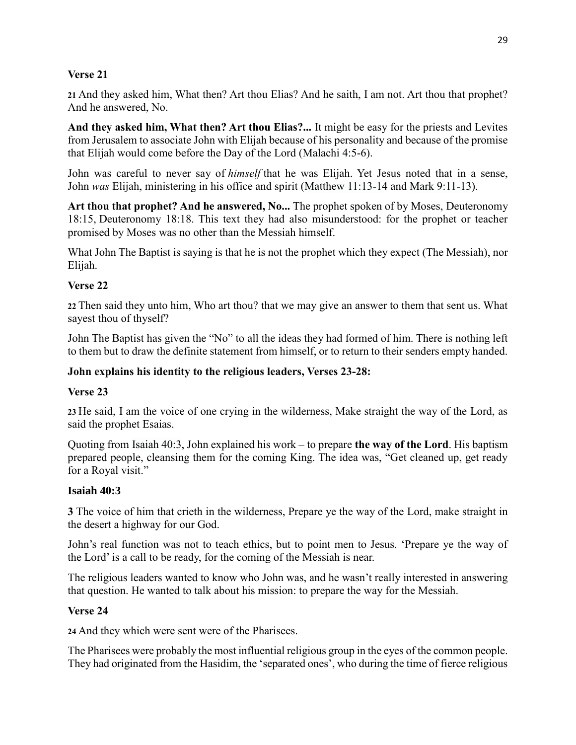### **Verse 21**

**21** And they asked him, What then? Art thou Elias? And he saith, I am not. Art thou that prophet? And he answered, No.

**And they asked him, What then? Art thou Elias?...** It might be easy for the priests and Levites from Jerusalem to associate John with Elijah because of his personality and because of the promise that Elijah would come before the Day of the Lord [\(Malachi 4:5-6\)](https://www.blueletterbible.org/kjv/malachi/4/5-6/s_929005).

John was careful to never say of *himself* that he was Elijah. Yet Jesus noted that in a sense, John *was* Elijah, ministering in his office and spirit [\(Matthew 11:13-14](https://www.blueletterbible.org/kjv/matthew/11/13-14/s_940013) and [Mark 9:11-13\)](https://www.blueletterbible.org/kjv/mark/9/11-13/s_966011).

**Art thou that prophet? And he answered, No...** The prophet spoken of by Moses, Deuteronomy 18:15, Deuteronomy 18:18. This text they had also misunderstood: for the prophet or teacher promised by Moses was no other than the Messiah himself.

What John The Baptist is saying is that he is not the prophet which they expect (The Messiah), nor Elijah.

### **Verse 22**

**22** Then said they unto him, Who art thou? that we may give an answer to them that sent us. What sayest thou of thyself?

John The Baptist has given the "No" to all the ideas they had formed of him. There is nothing left to them but to draw the definite statement from himself, or to return to their senders empty handed.

#### **John explains his identity to the religious leaders, Verses 23-28:**

#### **Verse 23**

**23** He said, I am the voice of one crying in the wilderness, Make straight the way of the Lord, as said the prophet Esaias.

Quoting from [Isaiah 40:3,](https://www.blueletterbible.org/kjv/isaiah/40/3/s_719003) John explained his work – to prepare **the way of the Lord**. His baptism prepared people, cleansing them for the coming King. The idea was, "Get cleaned up, get ready for a Royal visit."

#### **Isaiah 40:3**

**3** The voice of him that crieth in the wilderness, Prepare ye the way of the Lord, make straight in the desert a highway for our God.

John's real function was not to teach ethics, but to point men to Jesus. 'Prepare ye the way of the Lord' is a call to be ready, for the coming of the Messiah is near.

The religious leaders wanted to know who John was, and he wasn't really interested in answering that question. He wanted to talk about his mission: to prepare the way for the Messiah.

#### **Verse 24**

**24** And they which were sent were of the Pharisees.

The Pharisees were probably the most influential religious group in the eyes of the common people. They had originated from the Hasidim, the 'separated ones', who during the time of fierce religious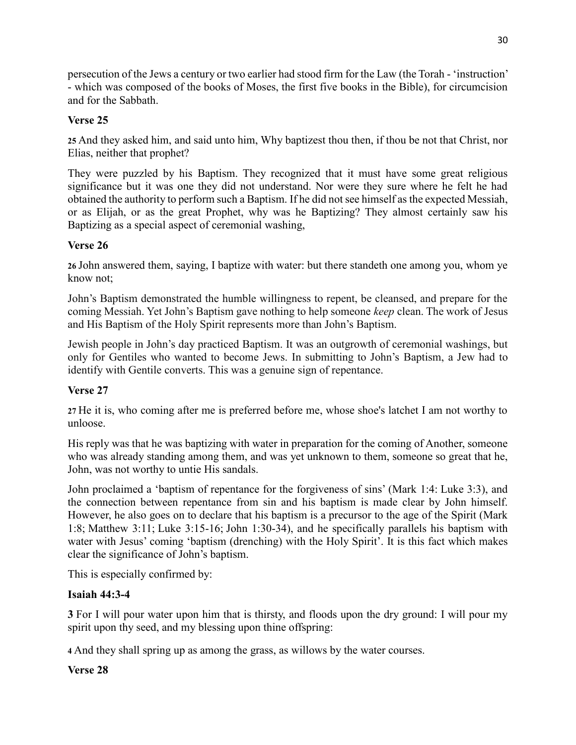persecution of the Jews a century or two earlier had stood firm for the Law (the Torah - 'instruction' - which was composed of the books of Moses, the first five books in the Bible), for circumcision and for the Sabbath.

# **Verse 25**

**25** And they asked him, and said unto him, Why baptizest thou then, if thou be not that Christ, nor Elias, neither that prophet?

They were puzzled by his Baptism. They recognized that it must have some great religious significance but it was one they did not understand. Nor were they sure where he felt he had obtained the authority to perform such a Baptism. If he did not see himself as the expected Messiah, or as Elijah, or as the great Prophet, why was he Baptizing? They almost certainly saw his Baptizing as a special aspect of ceremonial washing,

# **Verse 26**

**26** John answered them, saying, I baptize with water: but there standeth one among you, whom ye know not;

John's Baptism demonstrated the humble willingness to repent, be cleansed, and prepare for the coming Messiah. Yet John's Baptism gave nothing to help someone *keep* clean. The work of Jesus and His Baptism of the Holy Spirit represents more than John's Baptism.

Jewish people in John's day practiced Baptism. It was an outgrowth of ceremonial washings, but only for Gentiles who wanted to become Jews. In submitting to John's Baptism, a Jew had to identify with Gentile converts. This was a genuine sign of repentance.

# **Verse 27**

**27** He it is, who coming after me is preferred before me, whose shoe's latchet I am not worthy to unloose.

His reply was that he was baptizing with water in preparation for the coming of Another, someone who was already standing among them, and was yet unknown to them, someone so great that he, John, was not worthy to untie His sandals.

John proclaimed a 'baptism of repentance for the forgiveness of sins' (Mark 1:4: Luke 3:3), and the connection between repentance from sin and his baptism is made clear by John himself. However, he also goes on to declare that his baptism is a precursor to the age of the Spirit (Mark 1:8; Matthew 3:11; Luke 3:15-16; John 1:30-34), and he specifically parallels his baptism with water with Jesus' coming 'baptism (drenching) with the Holy Spirit'. It is this fact which makes clear the significance of John's baptism.

This is especially confirmed by:

# **Isaiah 44:3-4**

**3** For I will pour water upon him that is thirsty, and floods upon the dry ground: I will pour my spirit upon thy seed, and my blessing upon thine offspring:

**4** And they shall spring up as among the grass, as willows by the water courses.

# **Verse 28**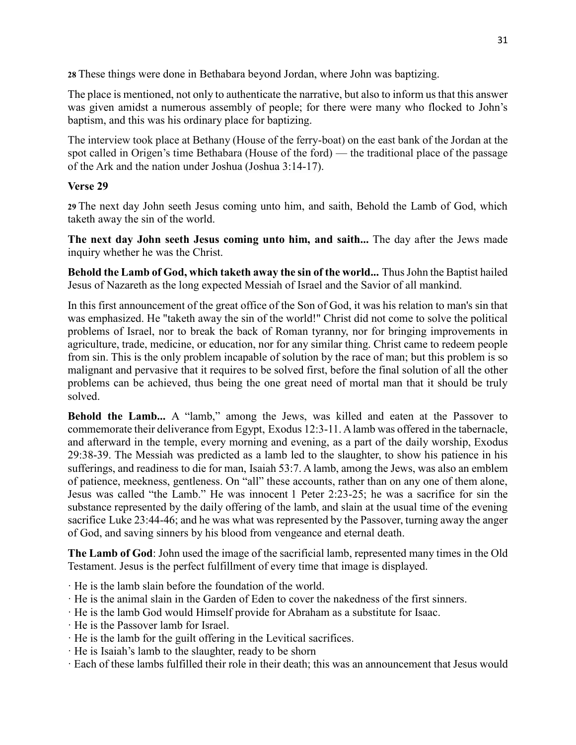**28** These things were done in Bethabara beyond Jordan, where John was baptizing.

The place is mentioned, not only to authenticate the narrative, but also to inform us that this answer was given amidst a numerous assembly of people; for there were many who flocked to John's baptism, and this was his ordinary place for baptizing.

The interview took place at Bethany (House of the ferry-boat) on the east bank of the Jordan at the spot called in Origen's time Bethabara (House of the ford) — the traditional place of the passage of the Ark and the nation under Joshua [\(Joshua 3:14-17\)](https://www.blueletterbible.org/kjv/joshua/3/14-17/s_190014).

## **Verse 29**

**29** The next day John seeth Jesus coming unto him, and saith, Behold the Lamb of God, which taketh away the sin of the world.

**The next day John seeth Jesus coming unto him, and saith...** The day after the Jews made inquiry whether he was the Christ.

**Behold the Lamb of God, which taketh away the sin of the world...** Thus John the Baptist hailed Jesus of Nazareth as the long expected Messiah of Israel and the Savior of all mankind.

In this first announcement of the great office of the Son of God, it was his relation to man's sin that was emphasized. He "taketh away the sin of the world!" Christ did not come to solve the political problems of Israel, nor to break the back of Roman tyranny, nor for bringing improvements in agriculture, trade, medicine, or education, nor for any similar thing. Christ came to redeem people from sin. This is the only problem incapable of solution by the race of man; but this problem is so malignant and pervasive that it requires to be solved first, before the final solution of all the other problems can be achieved, thus being the one great need of mortal man that it should be truly solved.

Behold the Lamb... A "lamb," among the Jews, was killed and eaten at the Passover to commemorate their deliverance from Egypt, Exodus 12:3-11. A lamb was offered in the tabernacle, and afterward in the temple, every morning and evening, as a part of the daily worship, Exodus 29:38-39. The Messiah was predicted as a lamb led to the slaughter, to show his patience in his sufferings, and readiness to die for man, Isaiah 53:7. A lamb, among the Jews, was also an emblem of patience, meekness, gentleness. On "all" these accounts, rather than on any one of them alone, Jesus was called "the Lamb." He was innocent 1 Peter 2:23-25; he was a sacrifice for sin the substance represented by the daily offering of the lamb, and slain at the usual time of the evening sacrifice Luke 23:44-46; and he was what was represented by the Passover, turning away the anger of God, and saving sinners by his blood from vengeance and eternal death.

**The Lamb of God**: John used the image of the sacrificial lamb, represented many times in the Old Testament. Jesus is the perfect fulfillment of every time that image is displayed.

· He is the lamb slain before the foundation of the world.

- · He is the animal slain in the Garden of Eden to cover the nakedness of the first sinners.
- · He is the lamb God would Himself provide for Abraham as a substitute for Isaac.
- · He is the Passover lamb for Israel.
- · He is the lamb for the guilt offering in the Levitical sacrifices.
- · He is Isaiah's lamb to the slaughter, ready to be shorn
- · Each of these lambs fulfilled their role in their death; this was an announcement that Jesus would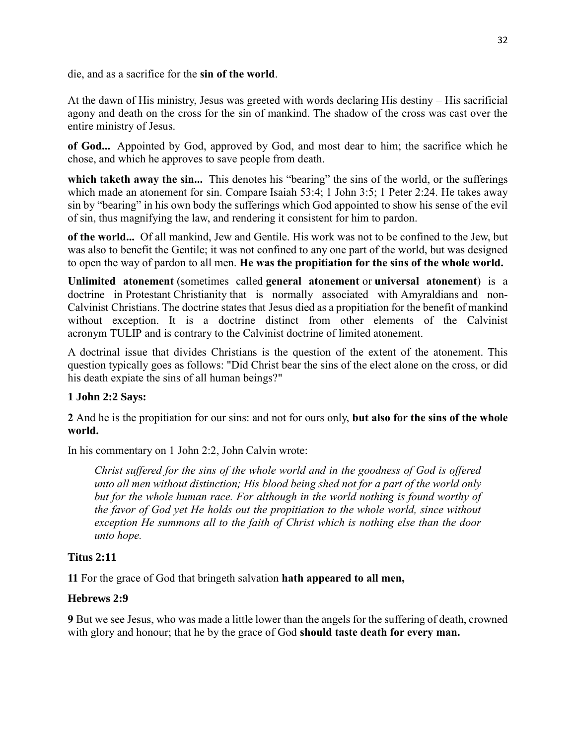die, and as a sacrifice for the **sin of the world**.

At the dawn of His ministry, Jesus was greeted with words declaring His destiny – His sacrificial agony and death on the cross for the sin of mankind. The shadow of the cross was cast over the entire ministry of Jesus.

**of God...** Appointed by God, approved by God, and most dear to him; the sacrifice which he chose, and which he approves to save people from death.

which taketh away the sin... This denotes his "bearing" the sins of the world, or the sufferings which made an atonement for sin. Compare Isaiah 53:4; 1 John 3:5; 1 Peter 2:24. He takes away sin by "bearing" in his own body the sufferings which God appointed to show his sense of the evil of sin, thus magnifying the law, and rendering it consistent for him to pardon.

**of the world...** Of all mankind, Jew and Gentile. His work was not to be confined to the Jew, but was also to benefit the Gentile; it was not confined to any one part of the world, but was designed to open the way of pardon to all men. **He was the propitiation for the sins of the whole world.**

**Unlimited atonement** (sometimes called **general atonement** or **universal atonement**) is a doctrine in [Protestant](https://en.wikipedia.org/wiki/Protestantism) [Christianity](https://en.wikipedia.org/wiki/Christianity) that is normally associated with [Amyraldians](https://en.wikipedia.org/wiki/Amyraldians) and non-[Calvinist](https://en.wikipedia.org/wiki/Calvinism) Christians. The doctrine states that [Jesus](https://en.wikipedia.org/wiki/Jesus_in_Christianity) died as a propitiation for the benefit of mankind without exception. It is a doctrine distinct from other elements of the Calvinist acronym [TULIP](https://en.wikipedia.org/wiki/Five_points_of_Calvinism#Five_points_of_Calvinism) and is contrary to the [Calvinist](https://en.wikipedia.org/wiki/Calvinism) doctrine of [limited atonement.](https://en.wikipedia.org/wiki/Atonement_(limited_view))

A doctrinal issue that divides Christians is the question of the extent of the atonement. This question typically goes as follows: "Did Christ bear the sins of the elect alone on the cross, or did his death expiate the sins of all human beings?"

### **1 John 2:2 Says:**

**2** And he is the propitiation for our sins: and not for ours only, **but also for the sins of the whole world.**

In his commentary on 1 John 2:2, John Calvin wrote:

*Christ suffered for the sins of the whole world and in the goodness of God is offered unto all men without distinction; His blood being shed not for a part of the world only*  but for the whole human race. For although in the world nothing is found worthy of *the favor of God yet He holds out the propitiation to the whole world, since without exception He summons all to the faith of Christ which is nothing else than the door unto hope.*

### **Titus 2:11**

**11** For the grace of God that bringeth salvation **hath appeared to all men,**

### **Hebrews 2:9**

**9** But we see Jesus, who was made a little lower than the angels for the suffering of death, crowned with glory and honour; that he by the grace of God **should taste death for every man.**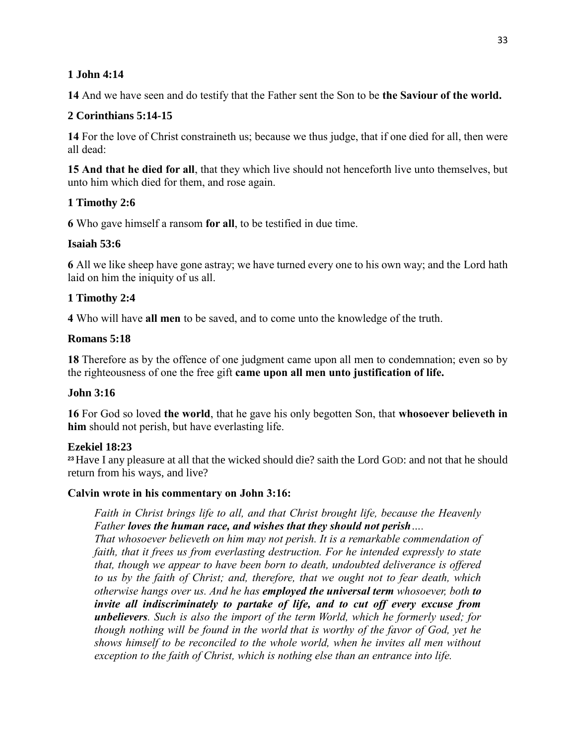### **1 John 4:14**

**14** And we have seen and do testify that the Father sent the Son to be **the Saviour of the world.**

## **2 Corinthians 5:14-15**

**14** For the love of Christ constraineth us; because we thus judge, that if one died for all, then were all dead:

**15 And that he died for all**, that they which live should not henceforth live unto themselves, but unto him which died for them, and rose again.

## **1 Timothy 2:6**

**6** Who gave himself a ransom **for all**, to be testified in due time.

## **Isaiah 53:6**

**6** All we like sheep have gone astray; we have turned every one to his own way; and the Lord hath laid on him the iniquity of us all.

## **1 Timothy 2:4**

**4** Who will have **all men** to be saved, and to come unto the knowledge of the truth.

### **Romans 5:18**

**18** Therefore as by the offence of one judgment came upon all men to condemnation; even so by the righteousness of one the free gift **came upon all men unto justification of life.**

### **John 3:16**

**16** For God so loved **the world**, that he gave his only begotten Son, that **whosoever believeth in him** should not perish, but have everlasting life.

### **Ezekiel 18:23**

**<sup>23</sup>**Have I any pleasure at all that the wicked should die? saith the Lord GOD: and not that he should return from his ways, and live?

### **Calvin wrote in his commentary on John 3:16:**

*Faith in Christ brings life to all, and that Christ brought life, because the Heavenly Father loves the human race, and wishes that they should not perish….*

*That whosoever believeth on him may not perish. It is a remarkable commendation of faith, that it frees us from everlasting destruction. For he intended expressly to state that, though we appear to have been born to death, undoubted deliverance is offered to us by the faith of Christ; and, therefore, that we ought not to fear death, which otherwise hangs over us. And he has employed the universal term whosoever, both to invite all indiscriminately to partake of life, and to cut off every excuse from unbelievers. Such is also the import of the term World, which he formerly used; for though nothing will be found in the world that is worthy of the favor of God, yet he shows himself to be reconciled to the whole world, when he invites all men without exception to the faith of Christ, which is nothing else than an entrance into life.*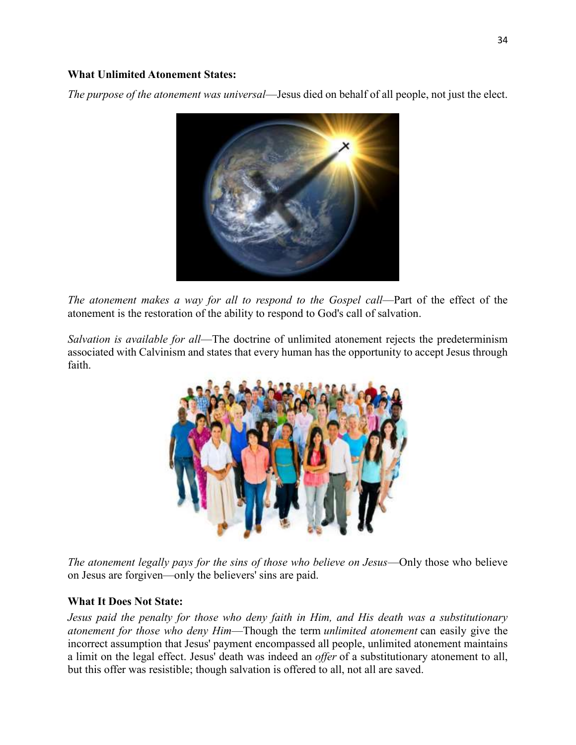#### **What Unlimited Atonement States:**

*The purpose of the atonement was universal*—Jesus died on behalf of all people, not just the elect.



*The atonement makes a way for all to respond to the Gospel call—Part of the effect of the* atonement is the restoration of the ability to respond to God's call of salvation.

*Salvation is available for all*—The doctrine of unlimited atonement rejects the predeterminism associated with Calvinism and states that every human has the opportunity to accept Jesus through faith.



*The atonement legally pays for the sins of those who believe on Jesus*—Only those who believe on Jesus are forgiven—only the believers' sins are paid.

#### **What It Does Not State:**

*Jesus paid the penalty for those who deny faith in Him, and His death was a substitutionary atonement for those who deny Him*—Though the term *unlimited atonement* can easily give the incorrect assumption that Jesus' payment encompassed all people, unlimited atonement maintains a limit on the legal effect. Jesus' death was indeed an *offer* of a substitutionary atonement to all, but this offer was resistible; though salvation is offered to all, not all are saved.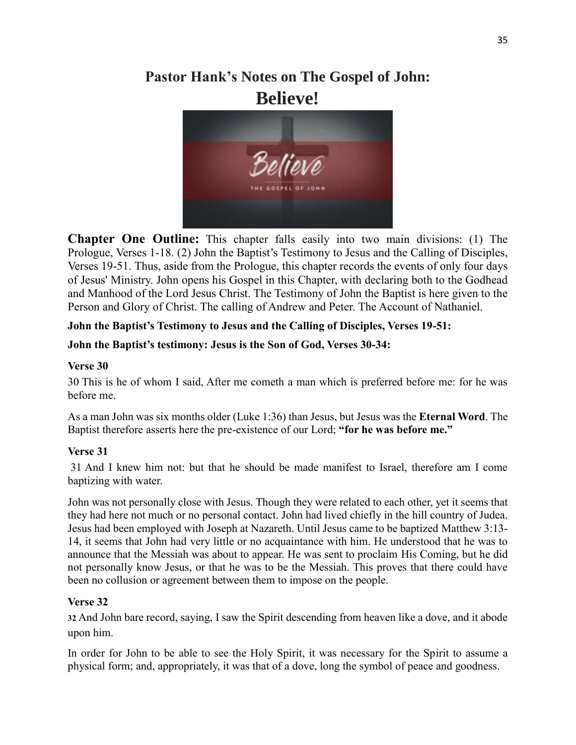# **Pastor Hank's Notes on The Gospel of John: Believe!**



**Chapter One Outline:** This chapter falls easily into two main divisions: (1) The Prologue, Verses 1-18. (2) John the Baptist's Testimony to Jesus and the Calling of Disciples, Verses 19-51. Thus, aside from the Prologue, this chapter records the events of only four days of Jesus' Ministry. John opens his Gospel in this Chapter, with declaring both to the Godhead and Manhood of the Lord Jesus Christ. The Testimony of John the Baptist is here given to the Person and Glory of Christ. The calling of Andrew and Peter. The Account of Nathaniel.

# **John the Baptist's Testimony to Jesus and the Calling of Disciples, Verses 19-51:**

### **John the Baptist's testimony: Jesus is the Son of God, Verses 30-34:**

### **Verse 30**

30 This is he of whom I said, After me cometh a man which is preferred before me: for he was before me.

As a man John was six months older (Luke 1:36) than Jesus, but Jesus was the **Eternal Word**. The Baptist therefore asserts here the pre-existence of our Lord; **"for he was before me."**

### **Verse 31**

31 And I knew him not: but that he should be made manifest to Israel, therefore am I come baptizing with water.

John was not personally close with Jesus. Though they were related to each other, yet it seems that they had here not much or no personal contact. John had lived chiefly in the hill country of Judea. Jesus had been employed with Joseph at Nazareth. Until Jesus came to be baptized Matthew 3:13- 14, it seems that John had very little or no acquaintance with him. He understood that he was to announce that the Messiah was about to appear. He was sent to proclaim His Coming, but he did not personally know Jesus, or that he was to be the Messiah. This proves that there could have been no collusion or agreement between them to impose on the people.

# **Verse 32**

**32** And John bare record, saying, I saw the Spirit descending from heaven like a dove, and it abode upon him.

In order for John to be able to see the Holy Spirit, it was necessary for the Spirit to assume a physical form; and, appropriately, it was that of a dove, long the symbol of peace and goodness.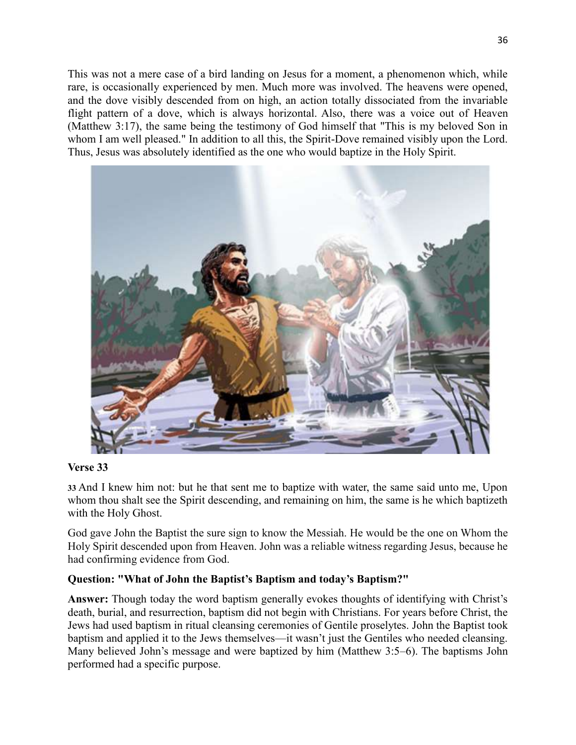This was not a mere case of a bird landing on Jesus for a moment, a phenomenon which, while rare, is occasionally experienced by men. Much more was involved. The heavens were opened, and the dove visibly descended from on high, an action totally dissociated from the invariable flight pattern of a dove, which is always horizontal. Also, there was a voice out of Heaven (Matthew 3:17), the same being the testimony of God himself that "This is my beloved Son in whom I am well pleased." In addition to all this, the Spirit-Dove remained visibly upon the Lord. Thus, Jesus was absolutely identified as the one who would baptize in the Holy Spirit.



#### **Verse 33**

**33** And I knew him not: but he that sent me to baptize with water, the same said unto me, Upon whom thou shalt see the Spirit descending, and remaining on him, the same is he which baptizeth with the Holy Ghost.

God gave John the Baptist the sure sign to know the Messiah. He would be the one on Whom the Holy Spirit descended upon from Heaven. John was a reliable witness regarding Jesus, because he had confirming evidence from God.

### **Question: "What of John the Baptist's Baptism and today's Baptism?"**

**Answer:** Though today the word baptism generally evokes thoughts of identifying with Christ's death, burial, and resurrection, baptism did not begin with Christians. For years before Christ, the Jews had used baptism in ritual cleansing ceremonies of Gentile proselytes. John the Baptist took baptism and applied it to the Jews themselves—it wasn't just the Gentiles who needed cleansing. Many believed John's message and were baptized by him (Matthew 3:5–6). The baptisms John performed had a specific purpose.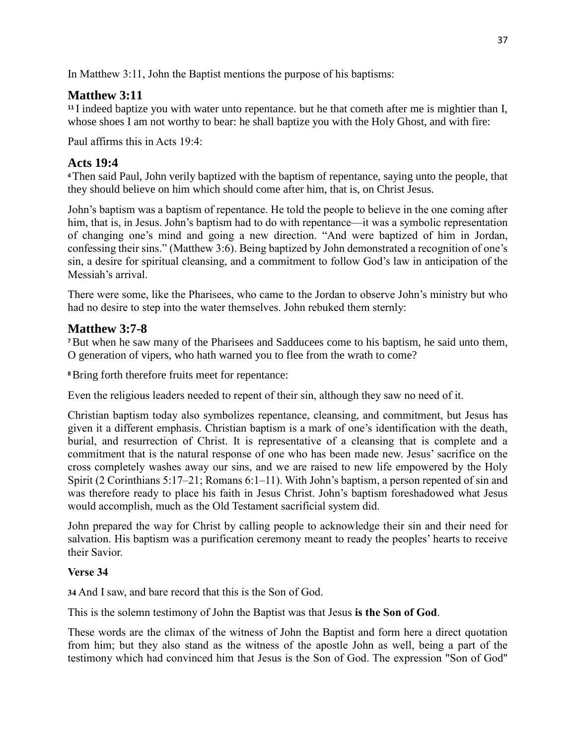In Matthew 3:11, John the Baptist mentions the purpose of his baptisms:

# **Matthew 3:11**

**<sup>11</sup>** I indeed baptize you with water unto repentance. but he that cometh after me is mightier than I, whose shoes I am not worthy to bear: he shall baptize you with the Holy Ghost, and with fire:

Paul affirms this in Acts 19:4:

# **Acts 19:4**

**<sup>4</sup>**Then said Paul, John verily baptized with the baptism of repentance, saying unto the people, that they should believe on him which should come after him, that is, on Christ Jesus.

John's baptism was a baptism of repentance. He told the people to believe in the one coming after him, that is, in Jesus. John's baptism had to do with repentance—it was a symbolic representation of changing one's mind and going a new direction. "And were baptized of him in Jordan, confessing their sins." (Matthew 3:6). Being baptized by John demonstrated a recognition of one's sin, a desire for spiritual cleansing, and a commitment to follow God's law in anticipation of the Messiah's arrival.

There were some, like the Pharisees, who came to the Jordan to observe John's ministry but who had no desire to step into the water themselves. John rebuked them sternly:

# **Matthew 3:7-8**

**<sup>7</sup>**But when he saw many of the Pharisees and Sadducees come to his baptism, he said unto them, O generation of vipers, who hath warned you to flee from the wrath to come?

**<sup>8</sup>**Bring forth therefore fruits meet for repentance:

Even the religious leaders needed to repent of their sin, although they saw no need of it.

Christian baptism today also symbolizes repentance, cleansing, and commitment, but Jesus has given it a different emphasis. Christian baptism is a mark of one's identification with the death, burial, and resurrection of Christ. It is representative of a cleansing that is complete and a commitment that is the natural response of one who has been made new. Jesus' sacrifice on the cross completely washes away our sins, and we are raised to new life empowered by the Holy Spirit (2 Corinthians 5:17–21; Romans 6:1–11). With John's baptism, a person repented of sin and was therefore ready to place his faith in Jesus Christ. John's baptism foreshadowed what Jesus would accomplish, much as the Old Testament sacrificial system did.

John prepared the way for Christ by calling people to acknowledge their sin and their need for salvation. His baptism was a purification ceremony meant to ready the peoples' hearts to receive their Savior.

# **Verse 34**

**34** And I saw, and bare record that this is the Son of God.

This is the solemn testimony of John the Baptist was that Jesus **is the Son of God**.

These words are the climax of the witness of John the Baptist and form here a direct quotation from him; but they also stand as the witness of the apostle John as well, being a part of the testimony which had convinced him that Jesus is the Son of God. The expression "Son of God"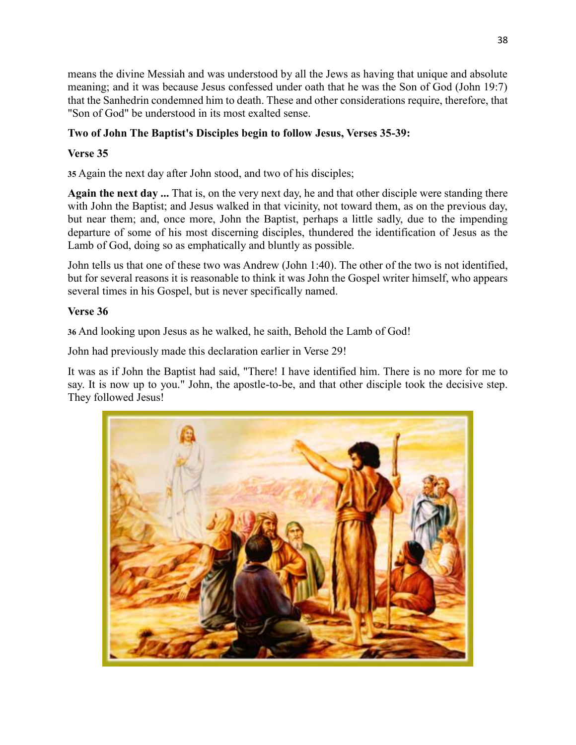means the divine Messiah and was understood by all the Jews as having that unique and absolute meaning; and it was because Jesus confessed under oath that he was the Son of God (John 19:7) that the Sanhedrin condemned him to death. These and other considerations require, therefore, that "Son of God" be understood in its most exalted sense.

# **Two of John The Baptist's Disciples begin to follow Jesus, Verses 35-39:**

# **Verse 35**

**35** Again the next day after John stood, and two of his disciples;

**Again the next day ...** That is, on the very next day, he and that other disciple were standing there with John the Baptist; and Jesus walked in that vicinity, not toward them, as on the previous day, but near them; and, once more, John the Baptist, perhaps a little sadly, due to the impending departure of some of his most discerning disciples, thundered the identification of Jesus as the Lamb of God, doing so as emphatically and bluntly as possible.

John tells us that one of these two was Andrew [\(John 1:40\)](https://www.blueletterbible.org/kjv/john/1/40/s_998040). The other of the two is not identified, but for several reasons it is reasonable to think it was John the Gospel writer himself, who appears several times in his Gospel, but is never specifically named.

## **Verse 36**

**36** And looking upon Jesus as he walked, he saith, Behold the Lamb of God!

John had previously made this declaration earlier in Verse 29!

It was as if John the Baptist had said, "There! I have identified him. There is no more for me to say. It is now up to you." John, the apostle-to-be, and that other disciple took the decisive step. They followed Jesus!

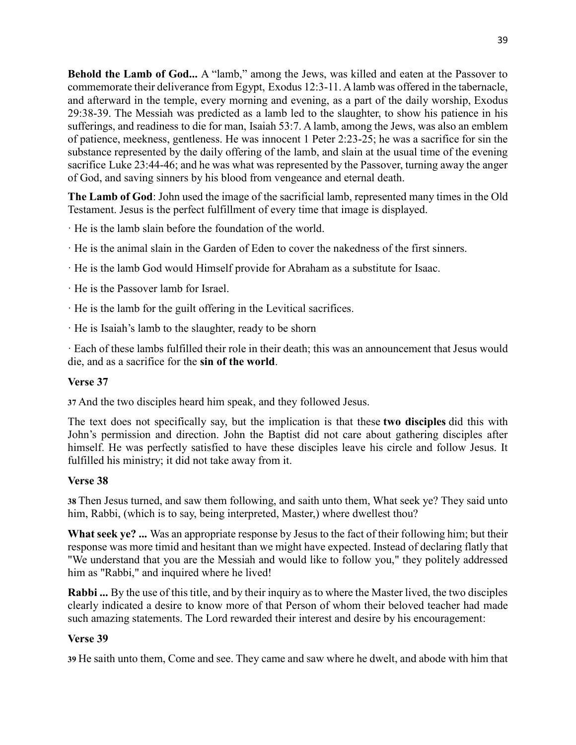**Behold the Lamb of God...** A "lamb," among the Jews, was killed and eaten at the Passover to commemorate their deliverance from Egypt, Exodus 12:3-11. A lamb was offered in the tabernacle, and afterward in the temple, every morning and evening, as a part of the daily worship, Exodus 29:38-39. The Messiah was predicted as a lamb led to the slaughter, to show his patience in his sufferings, and readiness to die for man, Isaiah 53:7. A lamb, among the Jews, was also an emblem of patience, meekness, gentleness. He was innocent 1 Peter 2:23-25; he was a sacrifice for sin the substance represented by the daily offering of the lamb, and slain at the usual time of the evening sacrifice Luke 23:44-46; and he was what was represented by the Passover, turning away the anger of God, and saving sinners by his blood from vengeance and eternal death.

**The Lamb of God**: John used the image of the sacrificial lamb, represented many times in the Old Testament. Jesus is the perfect fulfillment of every time that image is displayed.

- · He is the lamb slain before the foundation of the world.
- · He is the animal slain in the Garden of Eden to cover the nakedness of the first sinners.
- · He is the lamb God would Himself provide for Abraham as a substitute for Isaac.
- · He is the Passover lamb for Israel.
- · He is the lamb for the guilt offering in the Levitical sacrifices.
- · He is Isaiah's lamb to the slaughter, ready to be shorn

· Each of these lambs fulfilled their role in their death; this was an announcement that Jesus would die, and as a sacrifice for the **sin of the world**.

# **Verse 37**

**37** And the two disciples heard him speak, and they followed Jesus.

The text does not specifically say, but the implication is that these **two disciples** did this with John's permission and direction. John the Baptist did not care about gathering disciples after himself. He was perfectly satisfied to have these disciples leave his circle and follow Jesus. It fulfilled his ministry; it did not take away from it.

# **Verse 38**

**38** Then Jesus turned, and saw them following, and saith unto them, What seek ye? They said unto him, Rabbi, (which is to say, being interpreted, Master,) where dwellest thou?

**What seek ye? ...** Was an appropriate response by Jesus to the fact of their following him; but their response was more timid and hesitant than we might have expected. Instead of declaring flatly that "We understand that you are the Messiah and would like to follow you," they politely addressed him as "Rabbi," and inquired where he lived!

**Rabbi ...** By the use of this title, and by their inquiry as to where the Master lived, the two disciples clearly indicated a desire to know more of that Person of whom their beloved teacher had made such amazing statements. The Lord rewarded their interest and desire by his encouragement:

# **Verse 39**

**39** He saith unto them, Come and see. They came and saw where he dwelt, and abode with him that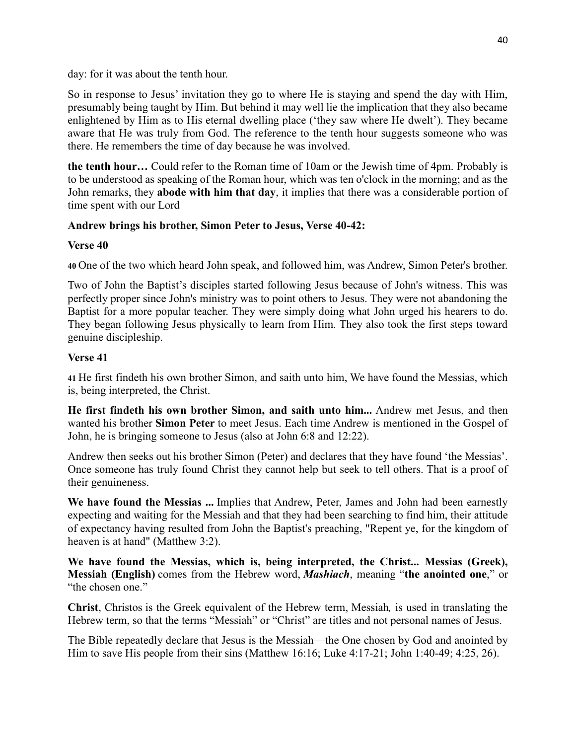day: for it was about the tenth hour.

So in response to Jesus' invitation they go to where He is staying and spend the day with Him, presumably being taught by Him. But behind it may well lie the implication that they also became enlightened by Him as to His eternal dwelling place ('they saw where He dwelt'). They became aware that He was truly from God. The reference to the tenth hour suggests someone who was there. He remembers the time of day because he was involved.

**the tenth hour…** Could refer to the Roman time of 10am or the Jewish time of 4pm. Probably is to be understood as speaking of the Roman hour, which was ten o'clock in the morning; and as the John remarks, they **abode with him that day**, it implies that there was a considerable portion of time spent with our Lord

## **Andrew brings his brother, Simon Peter to Jesus, Verse 40-42:**

### **Verse 40**

**40** One of the two which heard John speak, and followed him, was Andrew, Simon Peter's brother.

Two of John the Baptist's disciples started following Jesus because of John's witness. This was perfectly proper since John's ministry was to point others to Jesus. They were not abandoning the Baptist for a more popular teacher. They were simply doing what John urged his hearers to do. They began following Jesus physically to learn from Him. They also took the first steps toward genuine discipleship.

# **Verse 41**

**41** He first findeth his own brother Simon, and saith unto him, We have found the Messias, which is, being interpreted, the Christ.

**He first findeth his own brother Simon, and saith unto him...** Andrew met Jesus, and then wanted his brother **Simon Peter** to meet Jesus. Each time Andrew is mentioned in the Gospel of John, he is bringing someone to Jesus (also at [John 6:8](https://www.blueletterbible.org/kjv/john/6/8/s_1003008) and [12:22\)](https://www.blueletterbible.org/kjv/john/12/22/s_1009022).

Andrew then seeks out his brother Simon (Peter) and declares that they have found 'the Messias'. Once someone has truly found Christ they cannot help but seek to tell others. That is a proof of their genuineness.

**We have found the Messias ...** Implies that Andrew, Peter, James and John had been earnestly expecting and waiting for the Messiah and that they had been searching to find him, their attitude of expectancy having resulted from John the Baptist's preaching, "Repent ye, for the kingdom of heaven is at hand" (Matthew 3:2).

**We have found the Messias, which is, being interpreted, the Christ... Messias (Greek), Messiah (English)** comes from the Hebrew word, *Mashiach*, meaning "**the anointed one**," or "the chosen one."

**Christ**, Christos is the Greek equivalent of the Hebrew term, Messiah*,* is used in translating the Hebrew term, so that the terms "Messiah" or "Christ" are titles and not personal names of Jesus.

The Bible repeatedly declare that Jesus is the Messiah—the One chosen by God and anointed by Him to save His people from their sins (Matthew 16:16; Luke 4:17-21; John 1:40-49; 4:25, 26).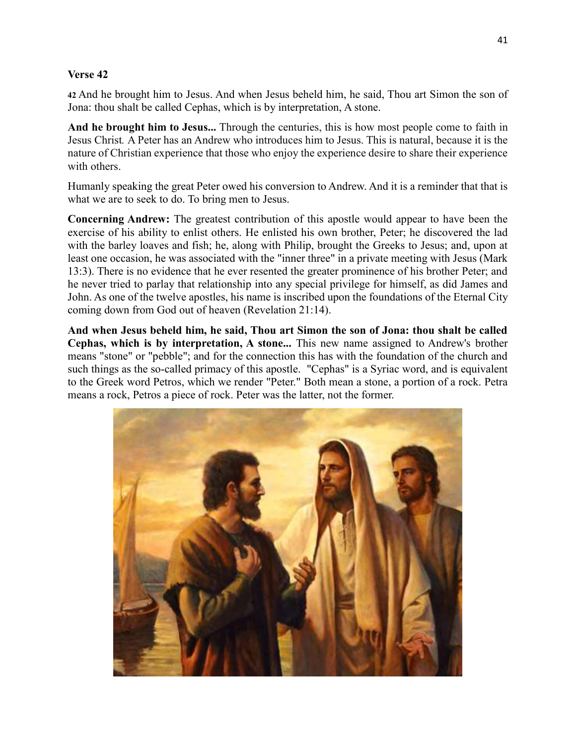#### **Verse 42**

**42** And he brought him to Jesus. And when Jesus beheld him, he said, Thou art Simon the son of Jona: thou shalt be called Cephas, which is by interpretation, A stone.

**And he brought him to Jesus...** Through the centuries, this is how most people come to faith in Jesus Christ*.* A Peter has an Andrew who introduces him to Jesus. This is natural, because it is the nature of Christian experience that those who enjoy the experience desire to share their experience with others.

Humanly speaking the great Peter owed his conversion to Andrew. And it is a reminder that that is what we are to seek to do. To bring men to Jesus.

**Concerning Andrew:** The greatest contribution of this apostle would appear to have been the exercise of his ability to enlist others. He enlisted his own brother, Peter; he discovered the lad with the barley loaves and fish; he, along with Philip, brought the Greeks to Jesus; and, upon at least one occasion, he was associated with the "inner three" in a private meeting with Jesus (Mark 13:3). There is no evidence that he ever resented the greater prominence of his brother Peter; and he never tried to parlay that relationship into any special privilege for himself, as did James and John. As one of the twelve apostles, his name is inscribed upon the foundations of the Eternal City coming down from God out of heaven (Revelation 21:14).

**And when Jesus beheld him, he said, Thou art Simon the son of Jona: thou shalt be called Cephas, which is by interpretation, A stone...** This new name assigned to Andrew's brother means "stone" or "pebble"; and for the connection this has with the foundation of the church and such things as the so-called primacy of this apostle. "Cephas" is a Syriac word, and is equivalent to the Greek word Petros, which we render "Peter." Both mean a stone, a portion of a rock. Petra means a rock, Petros a piece of rock. Peter was the latter, not the former.

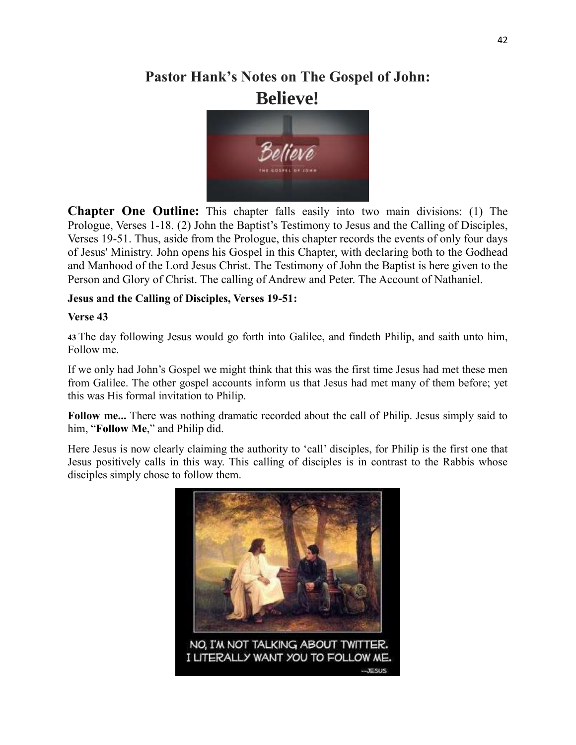# **Pastor Hank's Notes on The Gospel of John: Believe!**



**Chapter One Outline:** This chapter falls easily into two main divisions: (1) The Prologue, Verses 1-18. (2) John the Baptist's Testimony to Jesus and the Calling of Disciples, Verses 19-51. Thus, aside from the Prologue, this chapter records the events of only four days of Jesus' Ministry. John opens his Gospel in this Chapter, with declaring both to the Godhead and Manhood of the Lord Jesus Christ. The Testimony of John the Baptist is here given to the Person and Glory of Christ. The calling of Andrew and Peter. The Account of Nathaniel.

## **Jesus and the Calling of Disciples, Verses 19-51:**

### **Verse 43**

**43** The day following Jesus would go forth into Galilee, and findeth Philip, and saith unto him, Follow me.

If we only had John's Gospel we might think that this was the first time Jesus had met these men from Galilee. The other gospel accounts inform us that Jesus had met many of them before; yet this was His formal invitation to Philip.

Follow me... There was nothing dramatic recorded about the call of Philip. Jesus simply said to him, "**Follow Me**," and Philip did.

Here Jesus is now clearly claiming the authority to 'call' disciples, for Philip is the first one that Jesus positively calls in this way. This calling of disciples is in contrast to the Rabbis whose disciples simply chose to follow them.

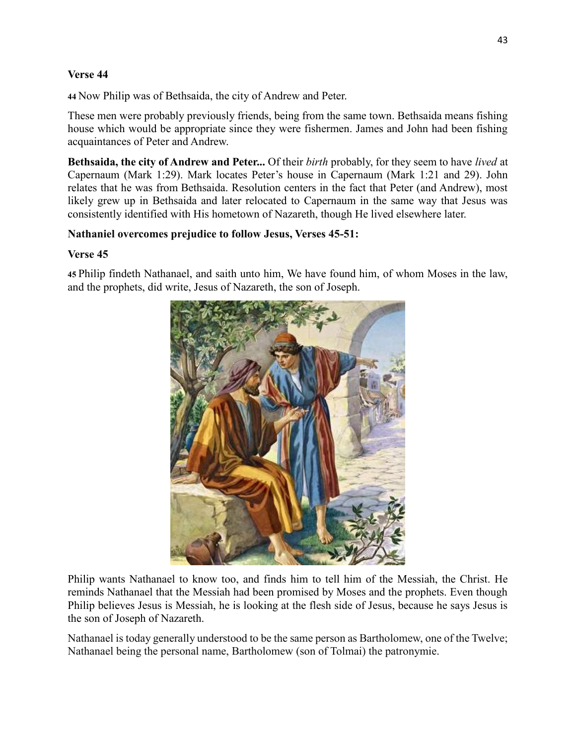#### **Verse 44**

**44** Now Philip was of Bethsaida, the city of Andrew and Peter.

These men were probably previously friends, being from the same town. Bethsaida means fishing house which would be appropriate since they were fishermen. James and John had been fishing acquaintances of Peter and Andrew.

**Bethsaida, the city of Andrew and Peter...** Of their *birth* probably, for they seem to have *lived* at Capernaum (Mark 1:29). Mark locates Peter's house in Capernaum (Mark 1:21 and 29). John relates that he was from Bethsaida. Resolution centers in the fact that Peter (and Andrew), most likely grew up in Bethsaida and later relocated to Capernaum in the same way that Jesus was consistently identified with His hometown of Nazareth, though He lived elsewhere later.

### **Nathaniel overcomes prejudice to follow Jesus, Verses 45-51:**

#### **Verse 45**

**45** Philip findeth Nathanael, and saith unto him, We have found him, of whom Moses in the law, and the prophets, did write, Jesus of Nazareth, the son of Joseph.



Philip wants Nathanael to know too, and finds him to tell him of the Messiah, the Christ. He reminds Nathanael that the Messiah had been promised by Moses and the prophets. Even though Philip believes Jesus is Messiah, he is looking at the flesh side of Jesus, because he says Jesus is the son of Joseph of Nazareth.

Nathanael is today generally understood to be the same person as Bartholomew, one of the Twelve; Nathanael being the personal name, Bartholomew (son of Tolmai) the patronymie.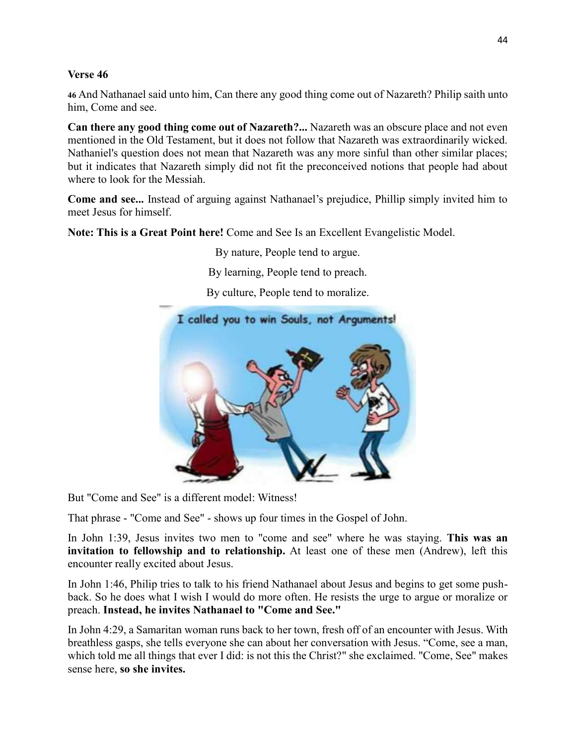#### **Verse 46**

**46** And Nathanael said unto him, Can there any good thing come out of Nazareth? Philip saith unto him, Come and see.

**Can there any good thing come out of Nazareth?...** Nazareth was an obscure place and not even mentioned in the Old Testament, but it does not follow that Nazareth was extraordinarily wicked. Nathaniel's question does not mean that Nazareth was any more sinful than other similar places; but it indicates that Nazareth simply did not fit the preconceived notions that people had about where to look for the Messiah.

**Come and see...** Instead of arguing against Nathanael's prejudice, Phillip simply invited him to meet Jesus for himself.

**Note: This is a Great Point here!** Come and See Is an Excellent Evangelistic Model.

By nature, People tend to argue.

By learning, People tend to preach.

By culture, People tend to moralize.



But "Come and See" is a different model: Witness!

That phrase - "Come and See" - shows up four times in the Gospel of John.

In John 1:39, Jesus invites two men to "come and see" where he was staying. **This was an invitation to fellowship and to relationship.** At least one of these men (Andrew), left this encounter really excited about Jesus.

In John 1:46, Philip tries to talk to his friend Nathanael about Jesus and begins to get some pushback. So he does what I wish I would do more often. He resists the urge to argue or moralize or preach. **Instead, he invites Nathanael to "Come and See."**

In John 4:29, a Samaritan woman runs back to her town, fresh off of an encounter with Jesus. With breathless gasps, she tells everyone she can about her conversation with Jesus. "Come, see a man, which told me all things that ever I did: is not this the Christ?" she exclaimed. "Come, See" makes sense here, **so she invites.**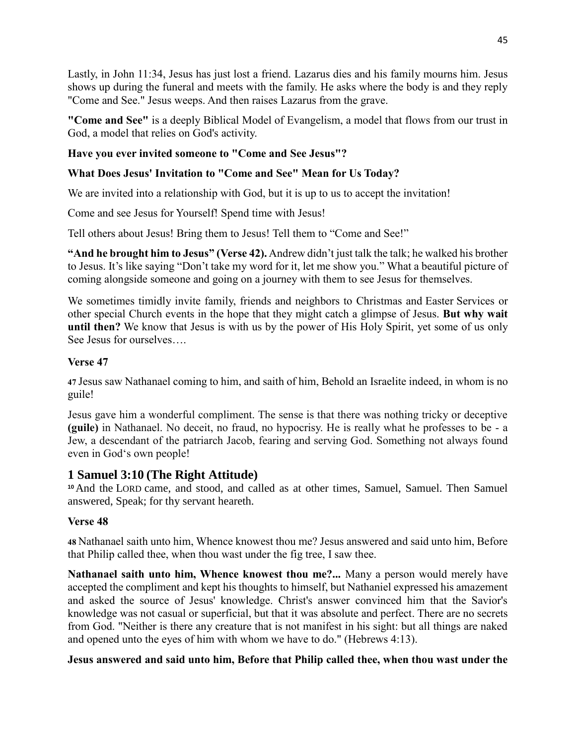Lastly, in John 11:34, Jesus has just lost a friend. Lazarus dies and his family mourns him. Jesus shows up during the funeral and meets with the family. He asks where the body is and they reply "Come and See." Jesus weeps. And then raises Lazarus from the grave.

**"Come and See"** is a deeply Biblical Model of Evangelism, a model that flows from our trust in God, a model that relies on God's activity.

# **Have you ever invited someone to "Come and See Jesus"?**

# **What Does Jesus' Invitation to "Come and See" Mean for Us Today?**

We are invited into a relationship with God, but it is up to us to accept the invitation!

Come and see Jesus for Yourself! Spend time with Jesus!

Tell others about Jesus! Bring them to Jesus! Tell them to "Come and See!"

**"And he brought him to Jesus" [\(Verse](http://www.biblestudytools.com/search/?t=niv&q=joh+1:42) 42).** Andrew didn't just talk the talk; he walked his brother to Jesus. It's like saying "Don't take my word for it, let me show you." What a beautiful picture of coming alongside someone and going on a journey with them to see Jesus for themselves.

We sometimes timidly invite family, friends and neighbors to Christmas and [Easter](https://www.crosswalk.com/faith/spiritual-life/undertanding-the-history-and-symbols-of-easter-1256039.html) Services or other special Church events in the hope that they might catch a glimpse of Jesus. **But why wait until then?** We know that Jesus is with us by the power of His Holy Spirit, yet some of us only See Jesus for ourselves….

## **Verse 47**

**47** Jesus saw Nathanael coming to him, and saith of him, Behold an Israelite indeed, in whom is no guile!

Jesus gave him a wonderful compliment. The sense is that there was nothing tricky or deceptive **(guile)** in Nathanael. No deceit, no fraud, no hypocrisy. He is really what he professes to be - a Jew, a descendant of the patriarch Jacob, fearing and serving God. Something not always found even in God's own people!

# **1 Samuel 3:10 (The Right Attitude)**

**<sup>10</sup>**And the LORD came, and stood, and called as at other times, Samuel, Samuel. Then Samuel answered, Speak; for thy servant heareth.

# **Verse 48**

**48** Nathanael saith unto him, Whence knowest thou me? Jesus answered and said unto him, Before that Philip called thee, when thou wast under the fig tree, I saw thee.

**Nathanael saith unto him, Whence knowest thou me?...** Many a person would merely have accepted the compliment and kept his thoughts to himself, but Nathaniel expressed his amazement and asked the source of Jesus' knowledge. Christ's answer convinced him that the Savior's knowledge was not casual or superficial, but that it was absolute and perfect. There are no secrets from God. "Neither is there any creature that is not manifest in his sight: but all things are naked and opened unto the eyes of him with whom we have to do." (Hebrews 4:13).

# **Jesus answered and said unto him, Before that Philip called thee, when thou wast under the**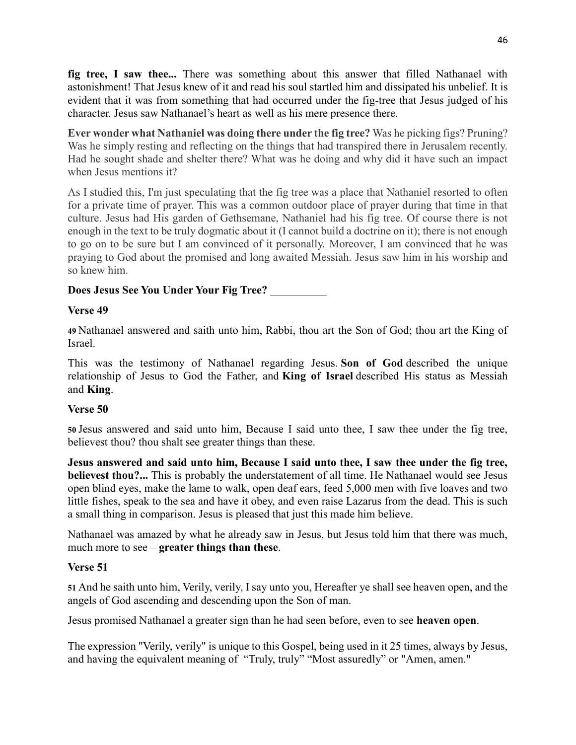**fig tree, I saw thee...** There was something about this answer that filled Nathanael with astonishment! That Jesus knew of it and read his soul startled him and dissipated his unbelief. It is evident that it was from something that had occurred under the fig-tree that Jesus judged of his character. Jesus saw Nathanael's heart as well as his mere presence there.

**Ever wonder what Nathaniel was doing there under the fig tree?** Was he picking figs? Pruning? Was he simply resting and reflecting on the things that had transpired there in Jerusalem recently. Had he sought shade and shelter there? What was he doing and why did it have such an impact when Jesus mentions it?

As I studied this, I'm just speculating that the fig tree was a place that Nathaniel resorted to often for a private time of prayer. This was a common outdoor place of prayer during that time in that culture. Jesus had His garden of Gethsemane, Nathaniel had his fig tree. Of course there is not enough in the text to be truly dogmatic about it (I cannot build a doctrine on it); there is not enough to go on to be sure but I am convinced of it personally. Moreover, I am convinced that he was praying to God about the promised and long awaited Messiah. Jesus saw him in his worship and so knew him.

## **Does Jesus See You Under Your Fig Tree?** \_\_\_\_\_\_\_\_\_\_

### **Verse 49**

**49** Nathanael answered and saith unto him, Rabbi, thou art the Son of God; thou art the King of Israel.

This was the testimony of Nathanael regarding Jesus. **Son of God** described the unique relationship of Jesus to God the Father, and **King of Israel** described His status as Messiah and **King**.

### **Verse 50**

**50** Jesus answered and said unto him, Because I said unto thee, I saw thee under the fig tree, believest thou? thou shalt see greater things than these.

**Jesus answered and said unto him, Because I said unto thee, I saw thee under the fig tree, believest thou?...** This is probably the understatement of all time. He Nathanael would see Jesus open blind eyes, make the lame to walk, open deaf ears, feed 5,000 men with five loaves and two little fishes, speak to the sea and have it obey, and even raise Lazarus from the dead. This is such a small thing in comparison. Jesus is pleased that just this made him believe.

Nathanael was amazed by what he already saw in Jesus, but Jesus told him that there was much, much more to see – **greater things than these**.

# **Verse 51**

**51** And he saith unto him, Verily, verily, I say unto you, Hereafter ye shall see heaven open, and the angels of God ascending and descending upon the Son of man.

Jesus promised Nathanael a greater sign than he had seen before, even to see **heaven open**.

The expression "Verily, verily" is unique to this Gospel, being used in it 25 times, always by Jesus, and having the equivalent meaning of "Truly, truly" "Most assuredly" or "Amen, amen."